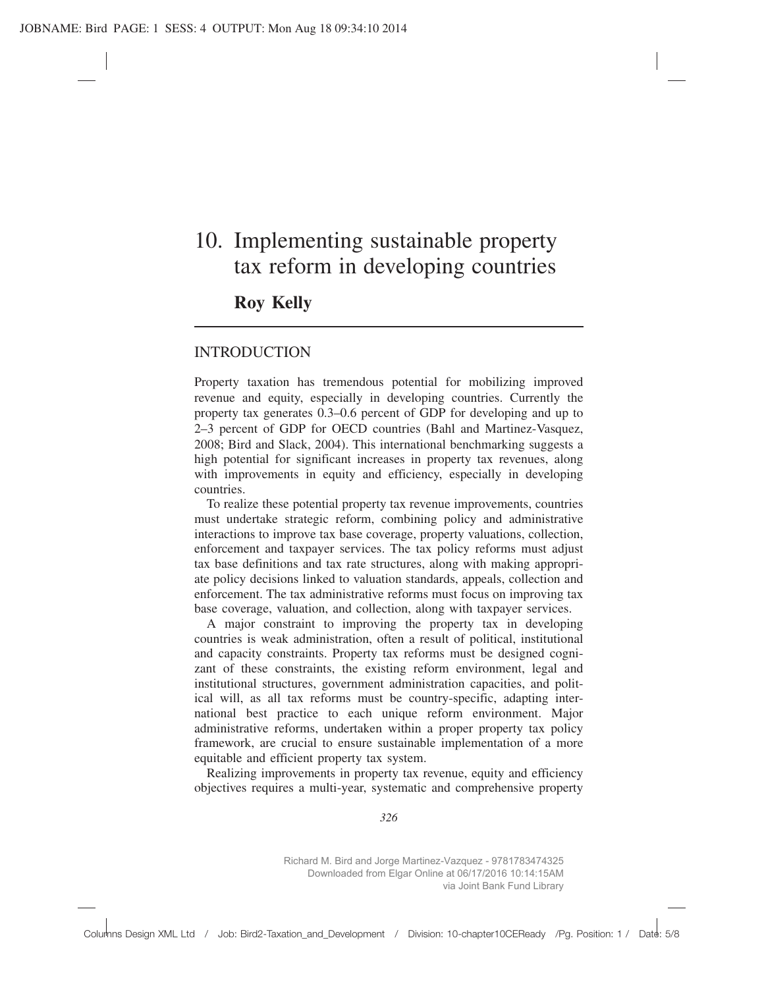# 10. Implementing sustainable property tax reform in developing countries

# **Roy Kelly**

# INTRODUCTION

Property taxation has tremendous potential for mobilizing improved revenue and equity, especially in developing countries. Currently the property tax generates 0.3–0.6 percent of GDP for developing and up to 2–3 percent of GDP for OECD countries (Bahl and Martinez-Vasquez, 2008; Bird and Slack, 2004). This international benchmarking suggests a high potential for significant increases in property tax revenues, along with improvements in equity and efficiency, especially in developing countries.

To realize these potential property tax revenue improvements, countries must undertake strategic reform, combining policy and administrative interactions to improve tax base coverage, property valuations, collection, enforcement and taxpayer services. The tax policy reforms must adjust tax base definitions and tax rate structures, along with making appropriate policy decisions linked to valuation standards, appeals, collection and enforcement. The tax administrative reforms must focus on improving tax base coverage, valuation, and collection, along with taxpayer services.

A major constraint to improving the property tax in developing countries is weak administration, often a result of political, institutional and capacity constraints. Property tax reforms must be designed cognizant of these constraints, the existing reform environment, legal and institutional structures, government administration capacities, and political will, as all tax reforms must be country-specific, adapting international best practice to each unique reform environment. Major administrative reforms, undertaken within a proper property tax policy framework, are crucial to ensure sustainable implementation of a more equitable and efficient property tax system.

Realizing improvements in property tax revenue, equity and efficiency objectives requires a multi-year, systematic and comprehensive property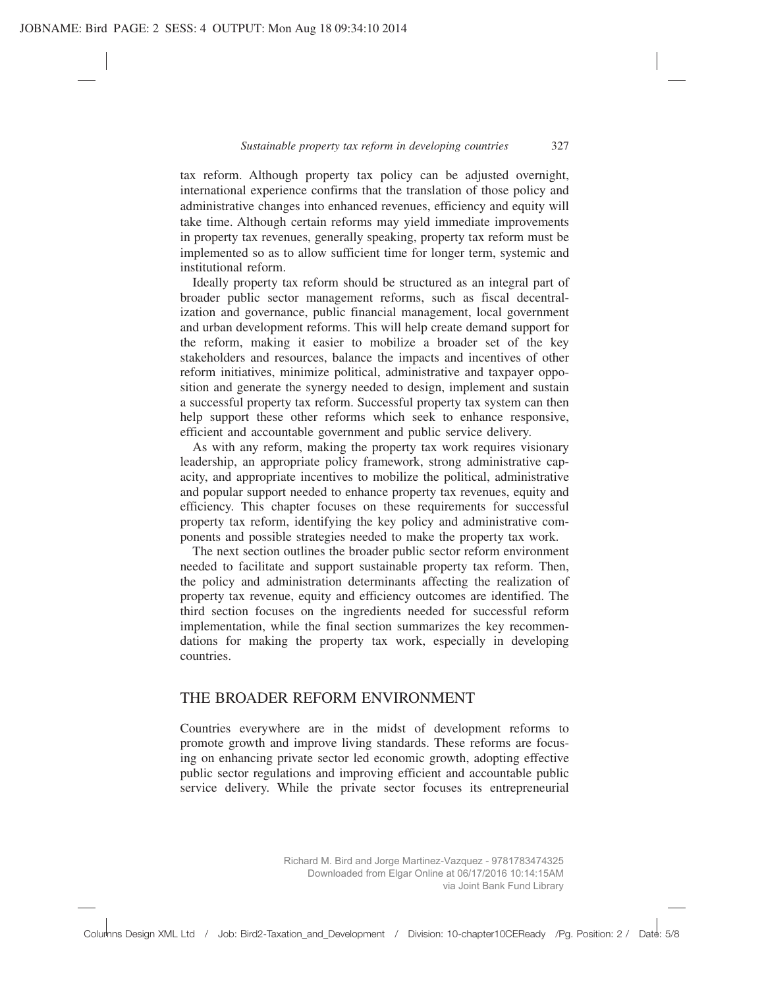tax reform. Although property tax policy can be adjusted overnight, international experience confirms that the translation of those policy and administrative changes into enhanced revenues, efficiency and equity will take time. Although certain reforms may yield immediate improvements in property tax revenues, generally speaking, property tax reform must be implemented so as to allow sufficient time for longer term, systemic and institutional reform.

Ideally property tax reform should be structured as an integral part of broader public sector management reforms, such as fiscal decentralization and governance, public financial management, local government and urban development reforms. This will help create demand support for the reform, making it easier to mobilize a broader set of the key stakeholders and resources, balance the impacts and incentives of other reform initiatives, minimize political, administrative and taxpayer opposition and generate the synergy needed to design, implement and sustain a successful property tax reform. Successful property tax system can then help support these other reforms which seek to enhance responsive, efficient and accountable government and public service delivery.

As with any reform, making the property tax work requires visionary leadership, an appropriate policy framework, strong administrative capacity, and appropriate incentives to mobilize the political, administrative and popular support needed to enhance property tax revenues, equity and efficiency. This chapter focuses on these requirements for successful property tax reform, identifying the key policy and administrative components and possible strategies needed to make the property tax work.

The next section outlines the broader public sector reform environment needed to facilitate and support sustainable property tax reform. Then, the policy and administration determinants affecting the realization of property tax revenue, equity and efficiency outcomes are identified. The third section focuses on the ingredients needed for successful reform implementation, while the final section summarizes the key recommendations for making the property tax work, especially in developing countries.

## THE BROADER REFORM ENVIRONMENT

Countries everywhere are in the midst of development reforms to promote growth and improve living standards. These reforms are focusing on enhancing private sector led economic growth, adopting effective public sector regulations and improving efficient and accountable public service delivery. While the private sector focuses its entrepreneurial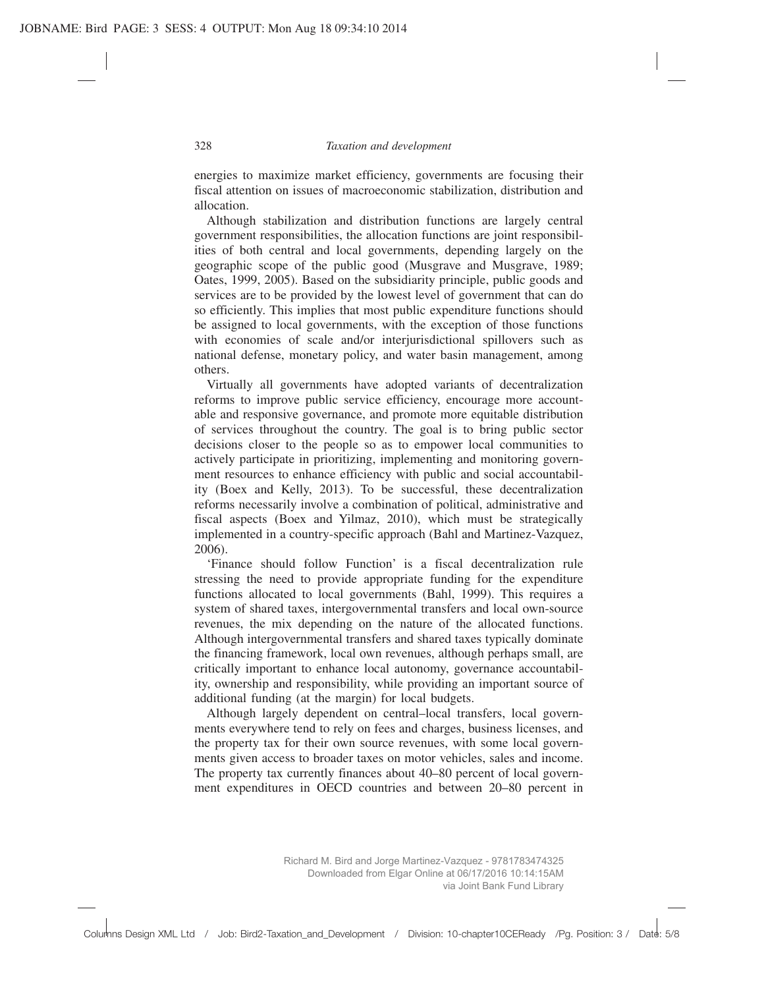energies to maximize market efficiency, governments are focusing their fiscal attention on issues of macroeconomic stabilization, distribution and allocation.

Although stabilization and distribution functions are largely central government responsibilities, the allocation functions are joint responsibilities of both central and local governments, depending largely on the geographic scope of the public good (Musgrave and Musgrave, 1989; Oates, 1999, 2005). Based on the subsidiarity principle, public goods and services are to be provided by the lowest level of government that can do so efficiently. This implies that most public expenditure functions should be assigned to local governments, with the exception of those functions with economies of scale and/or interjurisdictional spillovers such as national defense, monetary policy, and water basin management, among others.

Virtually all governments have adopted variants of decentralization reforms to improve public service efficiency, encourage more accountable and responsive governance, and promote more equitable distribution of services throughout the country. The goal is to bring public sector decisions closer to the people so as to empower local communities to actively participate in prioritizing, implementing and monitoring government resources to enhance efficiency with public and social accountability (Boex and Kelly, 2013). To be successful, these decentralization reforms necessarily involve a combination of political, administrative and fiscal aspects (Boex and Yilmaz, 2010), which must be strategically implemented in a country-specific approach (Bahl and Martinez-Vazquez, 2006).

'Finance should follow Function' is a fiscal decentralization rule stressing the need to provide appropriate funding for the expenditure functions allocated to local governments (Bahl, 1999). This requires a system of shared taxes, intergovernmental transfers and local own-source revenues, the mix depending on the nature of the allocated functions. Although intergovernmental transfers and shared taxes typically dominate the financing framework, local own revenues, although perhaps small, are critically important to enhance local autonomy, governance accountability, ownership and responsibility, while providing an important source of additional funding (at the margin) for local budgets.

Although largely dependent on central–local transfers, local governments everywhere tend to rely on fees and charges, business licenses, and the property tax for their own source revenues, with some local governments given access to broader taxes on motor vehicles, sales and income. The property tax currently finances about 40–80 percent of local government expenditures in OECD countries and between 20–80 percent in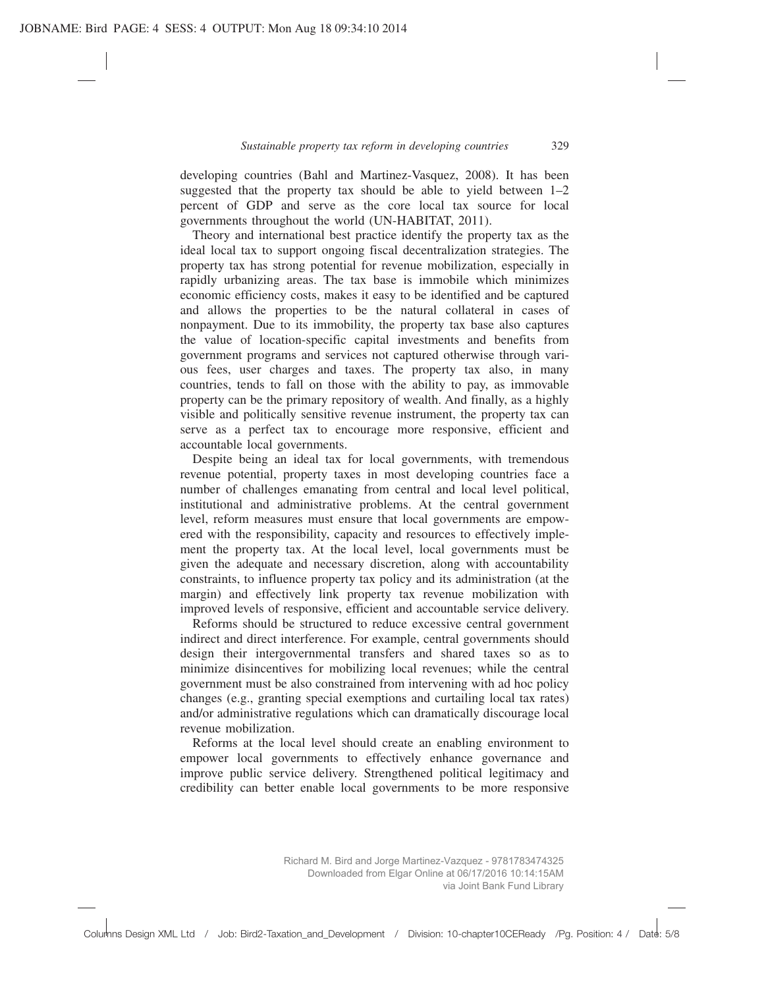developing countries (Bahl and Martinez-Vasquez, 2008). It has been suggested that the property tax should be able to yield between  $1-2$ percent of GDP and serve as the core local tax source for local governments throughout the world (UN-HABITAT, 2011).

Theory and international best practice identify the property tax as the ideal local tax to support ongoing fiscal decentralization strategies. The property tax has strong potential for revenue mobilization, especially in rapidly urbanizing areas. The tax base is immobile which minimizes economic efficiency costs, makes it easy to be identified and be captured and allows the properties to be the natural collateral in cases of nonpayment. Due to its immobility, the property tax base also captures the value of location-specific capital investments and benefits from government programs and services not captured otherwise through various fees, user charges and taxes. The property tax also, in many countries, tends to fall on those with the ability to pay, as immovable property can be the primary repository of wealth. And finally, as a highly visible and politically sensitive revenue instrument, the property tax can serve as a perfect tax to encourage more responsive, efficient and accountable local governments.

Despite being an ideal tax for local governments, with tremendous revenue potential, property taxes in most developing countries face a number of challenges emanating from central and local level political, institutional and administrative problems. At the central government level, reform measures must ensure that local governments are empowered with the responsibility, capacity and resources to effectively implement the property tax. At the local level, local governments must be given the adequate and necessary discretion, along with accountability constraints, to influence property tax policy and its administration (at the margin) and effectively link property tax revenue mobilization with improved levels of responsive, efficient and accountable service delivery.

Reforms should be structured to reduce excessive central government indirect and direct interference. For example, central governments should design their intergovernmental transfers and shared taxes so as to minimize disincentives for mobilizing local revenues; while the central government must be also constrained from intervening with ad hoc policy changes (e.g., granting special exemptions and curtailing local tax rates) and/or administrative regulations which can dramatically discourage local revenue mobilization.

Reforms at the local level should create an enabling environment to empower local governments to effectively enhance governance and improve public service delivery. Strengthened political legitimacy and credibility can better enable local governments to be more responsive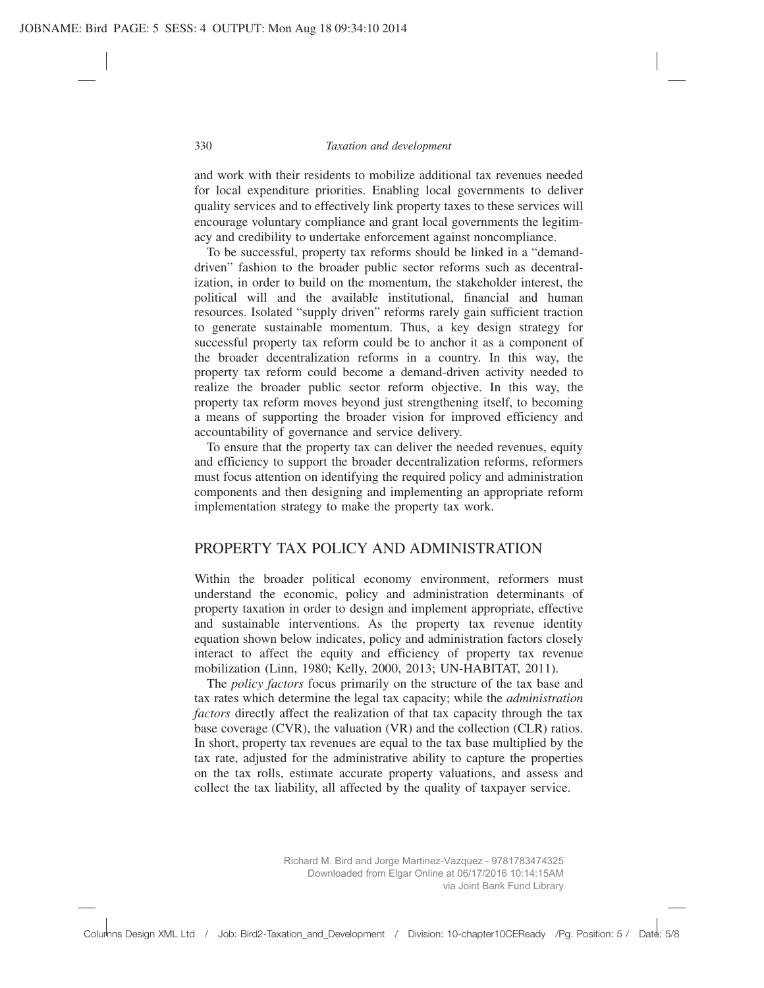and work with their residents to mobilize additional tax revenues needed for local expenditure priorities. Enabling local governments to deliver quality services and to effectively link property taxes to these services will encourage voluntary compliance and grant local governments the legitimacy and credibility to undertake enforcement against noncompliance.

To be successful, property tax reforms should be linked in a "demanddriven" fashion to the broader public sector reforms such as decentralization, in order to build on the momentum, the stakeholder interest, the political will and the available institutional, financial and human resources. Isolated "supply driven" reforms rarely gain sufficient traction to generate sustainable momentum. Thus, a key design strategy for successful property tax reform could be to anchor it as a component of the broader decentralization reforms in a country. In this way, the property tax reform could become a demand-driven activity needed to realize the broader public sector reform objective. In this way, the property tax reform moves beyond just strengthening itself, to becoming a means of supporting the broader vision for improved efficiency and accountability of governance and service delivery.

To ensure that the property tax can deliver the needed revenues, equity and efficiency to support the broader decentralization reforms, reformers must focus attention on identifying the required policy and administration components and then designing and implementing an appropriate reform implementation strategy to make the property tax work.

# PROPERTY TAX POLICY AND ADMINISTRATION

Within the broader political economy environment, reformers must understand the economic, policy and administration determinants of property taxation in order to design and implement appropriate, effective and sustainable interventions. As the property tax revenue identity equation shown below indicates, policy and administration factors closely interact to affect the equity and efficiency of property tax revenue mobilization (Linn, 1980; Kelly, 2000, 2013; UN-HABITAT, 2011).

The *policy factors* focus primarily on the structure of the tax base and tax rates which determine the legal tax capacity; while the *administration factors* directly affect the realization of that tax capacity through the tax base coverage (CVR), the valuation (VR) and the collection (CLR) ratios. In short, property tax revenues are equal to the tax base multiplied by the tax rate, adjusted for the administrative ability to capture the properties on the tax rolls, estimate accurate property valuations, and assess and collect the tax liability, all affected by the quality of taxpayer service.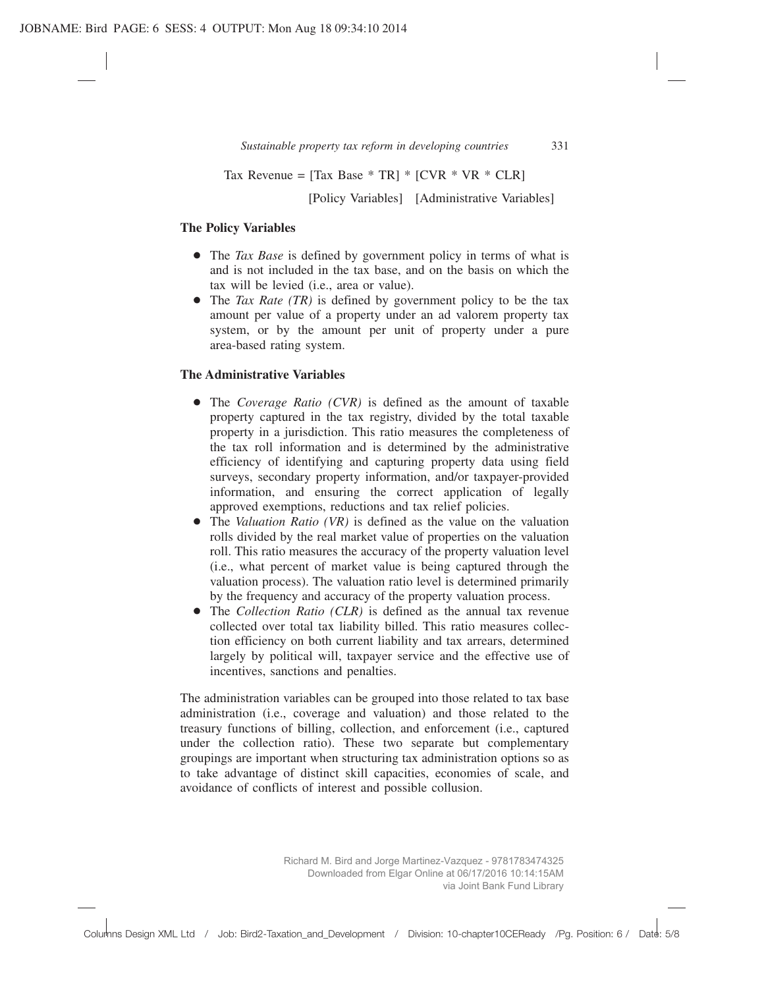Tax Revenue =  $\text{Tr}(Tax)$  Base \* TR] \*  $\text{ICVR}$  \*  $\text{VR}$  \*  $\text{CLR}$ 

[Policy Variables] [Administrative Variables]

## **The Policy Variables**

- The *Tax Base* is defined by government policy in terms of what is and is not included in the tax base, and on the basis on which the tax will be levied (i.e., area or value).
- The *Tax Rate (TR)* is defined by government policy to be the tax amount per value of a property under an ad valorem property tax system, or by the amount per unit of property under a pure area-based rating system.

## **The Administrative Variables**

- The *Coverage Ratio (CVR)* is defined as the amount of taxable property captured in the tax registry, divided by the total taxable property in a jurisdiction. This ratio measures the completeness of the tax roll information and is determined by the administrative efficiency of identifying and capturing property data using field surveys, secondary property information, and/or taxpayer-provided information, and ensuring the correct application of legally approved exemptions, reductions and tax relief policies.
- The *Valuation Ratio (VR)* is defined as the value on the valuation rolls divided by the real market value of properties on the valuation roll. This ratio measures the accuracy of the property valuation level (i.e., what percent of market value is being captured through the valuation process). The valuation ratio level is determined primarily by the frequency and accuracy of the property valuation process.
- The *Collection Ratio (CLR)* is defined as the annual tax revenue collected over total tax liability billed. This ratio measures collection efficiency on both current liability and tax arrears, determined largely by political will, taxpayer service and the effective use of incentives, sanctions and penalties.

The administration variables can be grouped into those related to tax base administration (i.e., coverage and valuation) and those related to the treasury functions of billing, collection, and enforcement (i.e., captured under the collection ratio). These two separate but complementary groupings are important when structuring tax administration options so as to take advantage of distinct skill capacities, economies of scale, and avoidance of conflicts of interest and possible collusion.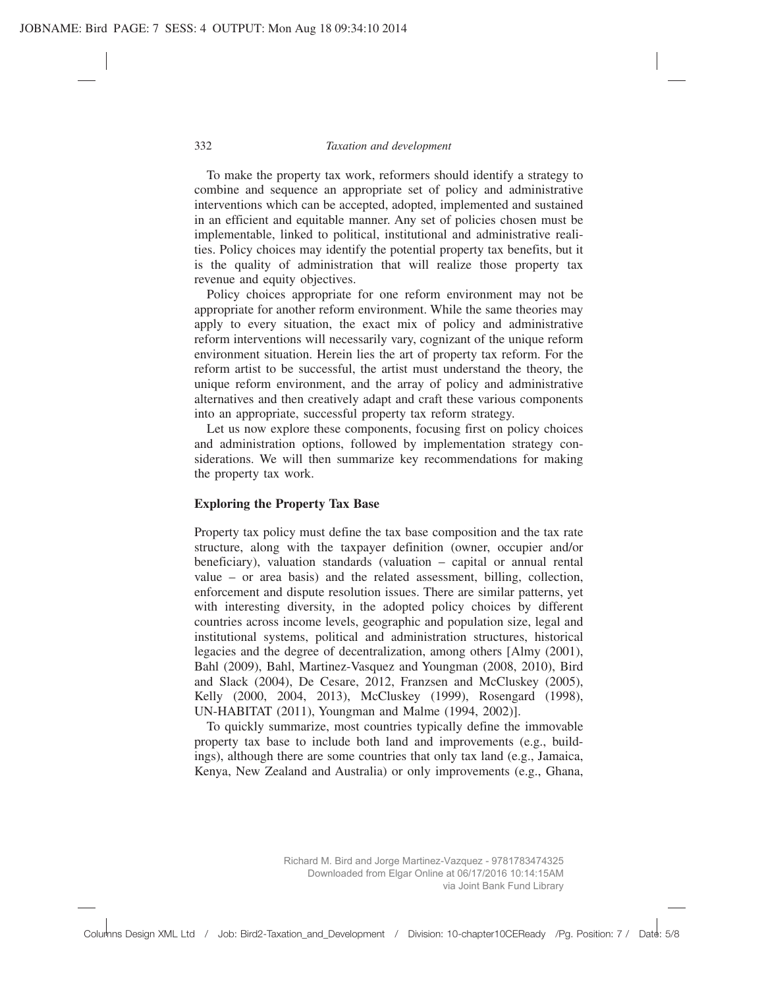To make the property tax work, reformers should identify a strategy to combine and sequence an appropriate set of policy and administrative interventions which can be accepted, adopted, implemented and sustained in an efficient and equitable manner. Any set of policies chosen must be implementable, linked to political, institutional and administrative realities. Policy choices may identify the potential property tax benefits, but it is the quality of administration that will realize those property tax revenue and equity objectives.

Policy choices appropriate for one reform environment may not be appropriate for another reform environment. While the same theories may apply to every situation, the exact mix of policy and administrative reform interventions will necessarily vary, cognizant of the unique reform environment situation. Herein lies the art of property tax reform. For the reform artist to be successful, the artist must understand the theory, the unique reform environment, and the array of policy and administrative alternatives and then creatively adapt and craft these various components into an appropriate, successful property tax reform strategy.

Let us now explore these components, focusing first on policy choices and administration options, followed by implementation strategy considerations. We will then summarize key recommendations for making the property tax work.

#### **Exploring the Property Tax Base**

Property tax policy must define the tax base composition and the tax rate structure, along with the taxpayer definition (owner, occupier and/or beneficiary), valuation standards (valuation – capital or annual rental value – or area basis) and the related assessment, billing, collection, enforcement and dispute resolution issues. There are similar patterns, yet with interesting diversity, in the adopted policy choices by different countries across income levels, geographic and population size, legal and institutional systems, political and administration structures, historical legacies and the degree of decentralization, among others [Almy (2001), Bahl (2009), Bahl, Martinez-Vasquez and Youngman (2008, 2010), Bird and Slack (2004), De Cesare, 2012, Franzsen and McCluskey (2005), Kelly (2000, 2004, 2013), McCluskey (1999), Rosengard (1998), UN-HABITAT (2011), Youngman and Malme (1994, 2002)].

To quickly summarize, most countries typically define the immovable property tax base to include both land and improvements (e.g., buildings), although there are some countries that only tax land (e.g., Jamaica, Kenya, New Zealand and Australia) or only improvements (e.g., Ghana,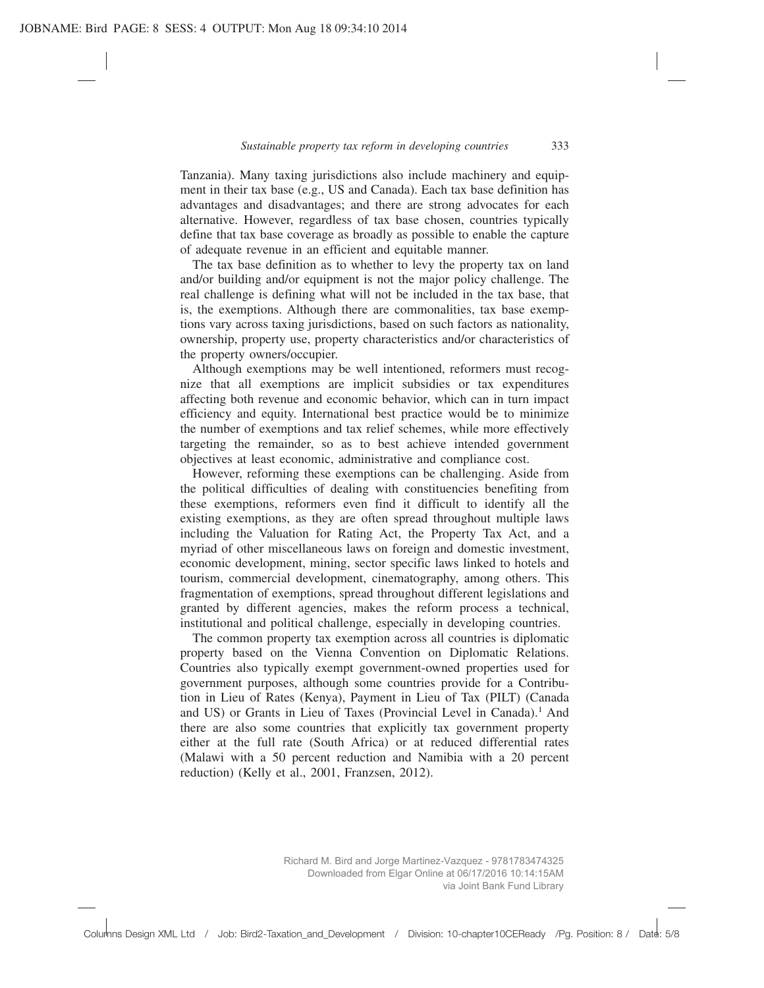Tanzania). Many taxing jurisdictions also include machinery and equipment in their tax base (e.g., US and Canada). Each tax base definition has advantages and disadvantages; and there are strong advocates for each alternative. However, regardless of tax base chosen, countries typically define that tax base coverage as broadly as possible to enable the capture of adequate revenue in an efficient and equitable manner.

The tax base definition as to whether to levy the property tax on land and/or building and/or equipment is not the major policy challenge. The real challenge is defining what will not be included in the tax base, that is, the exemptions. Although there are commonalities, tax base exemptions vary across taxing jurisdictions, based on such factors as nationality, ownership, property use, property characteristics and/or characteristics of the property owners/occupier.

Although exemptions may be well intentioned, reformers must recognize that all exemptions are implicit subsidies or tax expenditures affecting both revenue and economic behavior, which can in turn impact efficiency and equity. International best practice would be to minimize the number of exemptions and tax relief schemes, while more effectively targeting the remainder, so as to best achieve intended government objectives at least economic, administrative and compliance cost.

However, reforming these exemptions can be challenging. Aside from the political difficulties of dealing with constituencies benefiting from these exemptions, reformers even find it difficult to identify all the existing exemptions, as they are often spread throughout multiple laws including the Valuation for Rating Act, the Property Tax Act, and a myriad of other miscellaneous laws on foreign and domestic investment, economic development, mining, sector specific laws linked to hotels and tourism, commercial development, cinematography, among others. This fragmentation of exemptions, spread throughout different legislations and granted by different agencies, makes the reform process a technical, institutional and political challenge, especially in developing countries.

The common property tax exemption across all countries is diplomatic property based on the Vienna Convention on Diplomatic Relations. Countries also typically exempt government-owned properties used for government purposes, although some countries provide for a Contribution in Lieu of Rates (Kenya), Payment in Lieu of Tax (PILT) (Canada and US) or Grants in Lieu of Taxes (Provincial Level in Canada).<sup>1</sup> And there are also some countries that explicitly tax government property either at the full rate (South Africa) or at reduced differential rates (Malawi with a 50 percent reduction and Namibia with a 20 percent reduction) (Kelly et al., 2001, Franzsen, 2012).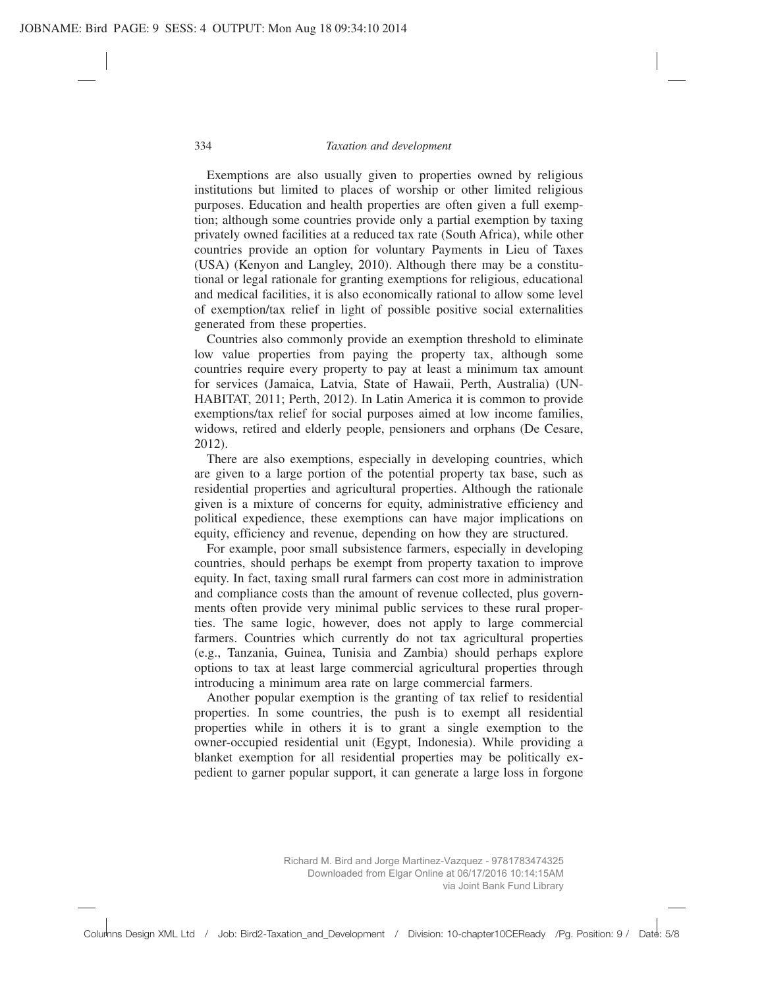Exemptions are also usually given to properties owned by religious institutions but limited to places of worship or other limited religious purposes. Education and health properties are often given a full exemption; although some countries provide only a partial exemption by taxing privately owned facilities at a reduced tax rate (South Africa), while other countries provide an option for voluntary Payments in Lieu of Taxes (USA) (Kenyon and Langley, 2010). Although there may be a constitutional or legal rationale for granting exemptions for religious, educational and medical facilities, it is also economically rational to allow some level of exemption/tax relief in light of possible positive social externalities generated from these properties.

Countries also commonly provide an exemption threshold to eliminate low value properties from paying the property tax, although some countries require every property to pay at least a minimum tax amount for services (Jamaica, Latvia, State of Hawaii, Perth, Australia) (UN-HABITAT, 2011; Perth, 2012). In Latin America it is common to provide exemptions/tax relief for social purposes aimed at low income families, widows, retired and elderly people, pensioners and orphans (De Cesare, 2012).

There are also exemptions, especially in developing countries, which are given to a large portion of the potential property tax base, such as residential properties and agricultural properties. Although the rationale given is a mixture of concerns for equity, administrative efficiency and political expedience, these exemptions can have major implications on equity, efficiency and revenue, depending on how they are structured.

For example, poor small subsistence farmers, especially in developing countries, should perhaps be exempt from property taxation to improve equity. In fact, taxing small rural farmers can cost more in administration and compliance costs than the amount of revenue collected, plus governments often provide very minimal public services to these rural properties. The same logic, however, does not apply to large commercial farmers. Countries which currently do not tax agricultural properties (e.g., Tanzania, Guinea, Tunisia and Zambia) should perhaps explore options to tax at least large commercial agricultural properties through introducing a minimum area rate on large commercial farmers.

Another popular exemption is the granting of tax relief to residential properties. In some countries, the push is to exempt all residential properties while in others it is to grant a single exemption to the owner-occupied residential unit (Egypt, Indonesia). While providing a blanket exemption for all residential properties may be politically expedient to garner popular support, it can generate a large loss in forgone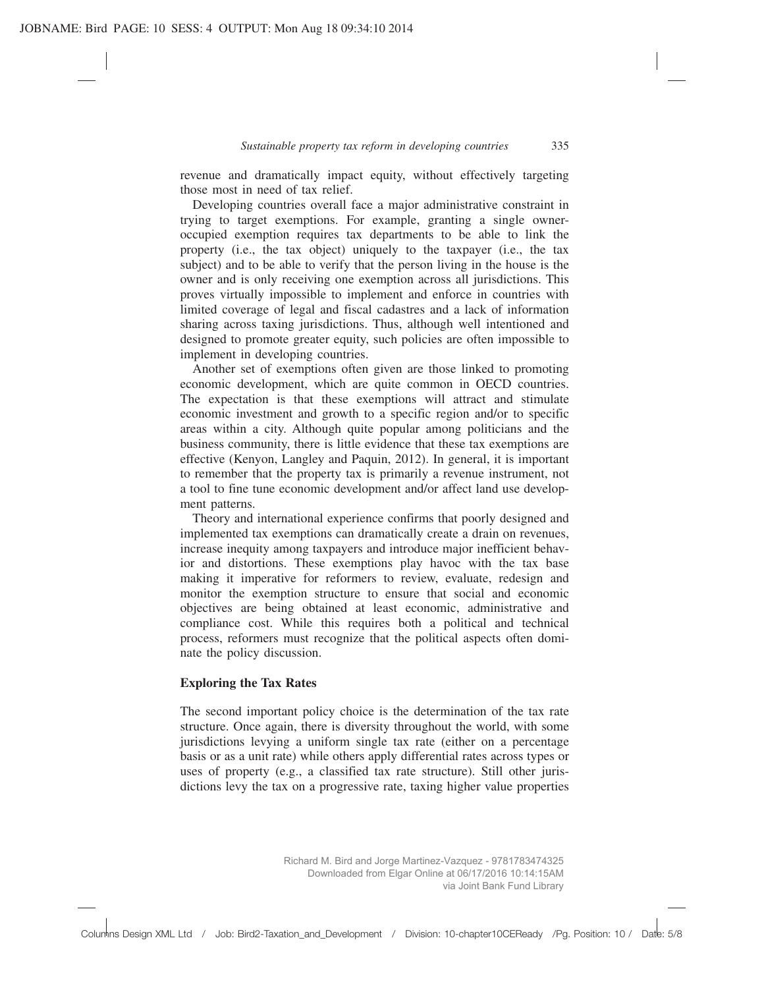revenue and dramatically impact equity, without effectively targeting those most in need of tax relief.

Developing countries overall face a major administrative constraint in trying to target exemptions. For example, granting a single owneroccupied exemption requires tax departments to be able to link the property (i.e., the tax object) uniquely to the taxpayer (i.e., the tax subject) and to be able to verify that the person living in the house is the owner and is only receiving one exemption across all jurisdictions. This proves virtually impossible to implement and enforce in countries with limited coverage of legal and fiscal cadastres and a lack of information sharing across taxing jurisdictions. Thus, although well intentioned and designed to promote greater equity, such policies are often impossible to implement in developing countries.

Another set of exemptions often given are those linked to promoting economic development, which are quite common in OECD countries. The expectation is that these exemptions will attract and stimulate economic investment and growth to a specific region and/or to specific areas within a city. Although quite popular among politicians and the business community, there is little evidence that these tax exemptions are effective (Kenyon, Langley and Paquin, 2012). In general, it is important to remember that the property tax is primarily a revenue instrument, not a tool to fine tune economic development and/or affect land use development patterns.

Theory and international experience confirms that poorly designed and implemented tax exemptions can dramatically create a drain on revenues, increase inequity among taxpayers and introduce major inefficient behavior and distortions. These exemptions play havoc with the tax base making it imperative for reformers to review, evaluate, redesign and monitor the exemption structure to ensure that social and economic objectives are being obtained at least economic, administrative and compliance cost. While this requires both a political and technical process, reformers must recognize that the political aspects often dominate the policy discussion.

#### **Exploring the Tax Rates**

The second important policy choice is the determination of the tax rate structure. Once again, there is diversity throughout the world, with some jurisdictions levying a uniform single tax rate (either on a percentage basis or as a unit rate) while others apply differential rates across types or uses of property (e.g., a classified tax rate structure). Still other jurisdictions levy the tax on a progressive rate, taxing higher value properties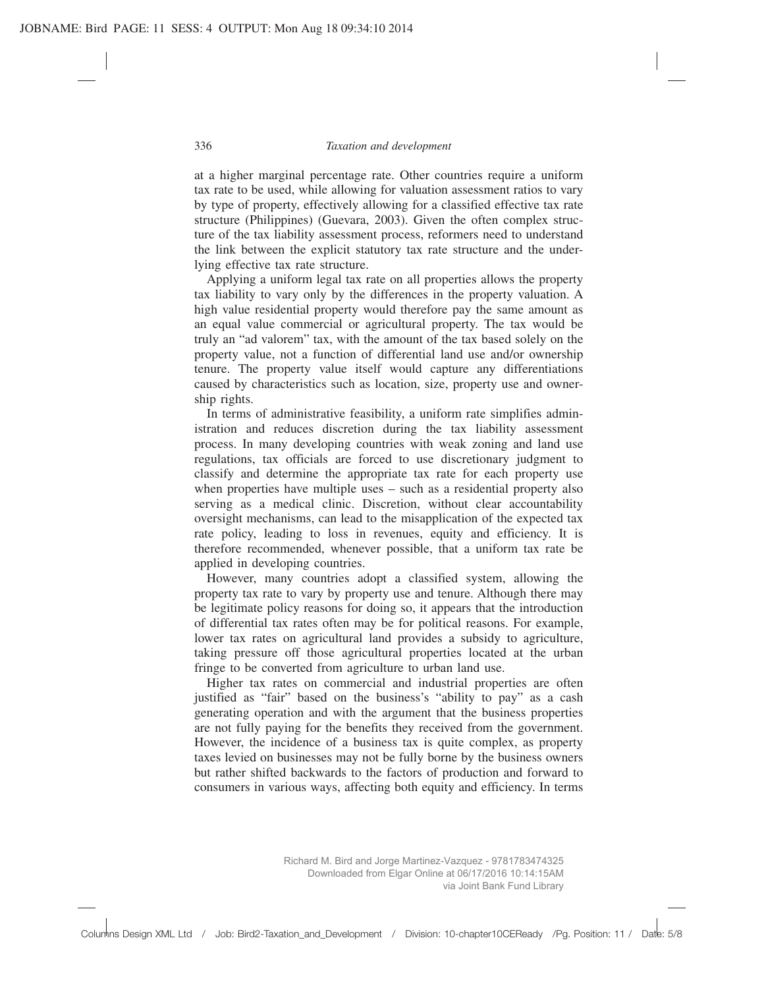at a higher marginal percentage rate. Other countries require a uniform tax rate to be used, while allowing for valuation assessment ratios to vary by type of property, effectively allowing for a classified effective tax rate structure (Philippines) (Guevara, 2003). Given the often complex structure of the tax liability assessment process, reformers need to understand the link between the explicit statutory tax rate structure and the underlying effective tax rate structure.

Applying a uniform legal tax rate on all properties allows the property tax liability to vary only by the differences in the property valuation. A high value residential property would therefore pay the same amount as an equal value commercial or agricultural property. The tax would be truly an "ad valorem" tax, with the amount of the tax based solely on the property value, not a function of differential land use and/or ownership tenure. The property value itself would capture any differentiations caused by characteristics such as location, size, property use and ownership rights.

In terms of administrative feasibility, a uniform rate simplifies administration and reduces discretion during the tax liability assessment process. In many developing countries with weak zoning and land use regulations, tax officials are forced to use discretionary judgment to classify and determine the appropriate tax rate for each property use when properties have multiple uses – such as a residential property also serving as a medical clinic. Discretion, without clear accountability oversight mechanisms, can lead to the misapplication of the expected tax rate policy, leading to loss in revenues, equity and efficiency. It is therefore recommended, whenever possible, that a uniform tax rate be applied in developing countries.

However, many countries adopt a classified system, allowing the property tax rate to vary by property use and tenure. Although there may be legitimate policy reasons for doing so, it appears that the introduction of differential tax rates often may be for political reasons. For example, lower tax rates on agricultural land provides a subsidy to agriculture, taking pressure off those agricultural properties located at the urban fringe to be converted from agriculture to urban land use.

Higher tax rates on commercial and industrial properties are often justified as "fair" based on the business's "ability to pay" as a cash generating operation and with the argument that the business properties are not fully paying for the benefits they received from the government. However, the incidence of a business tax is quite complex, as property taxes levied on businesses may not be fully borne by the business owners but rather shifted backwards to the factors of production and forward to consumers in various ways, affecting both equity and efficiency. In terms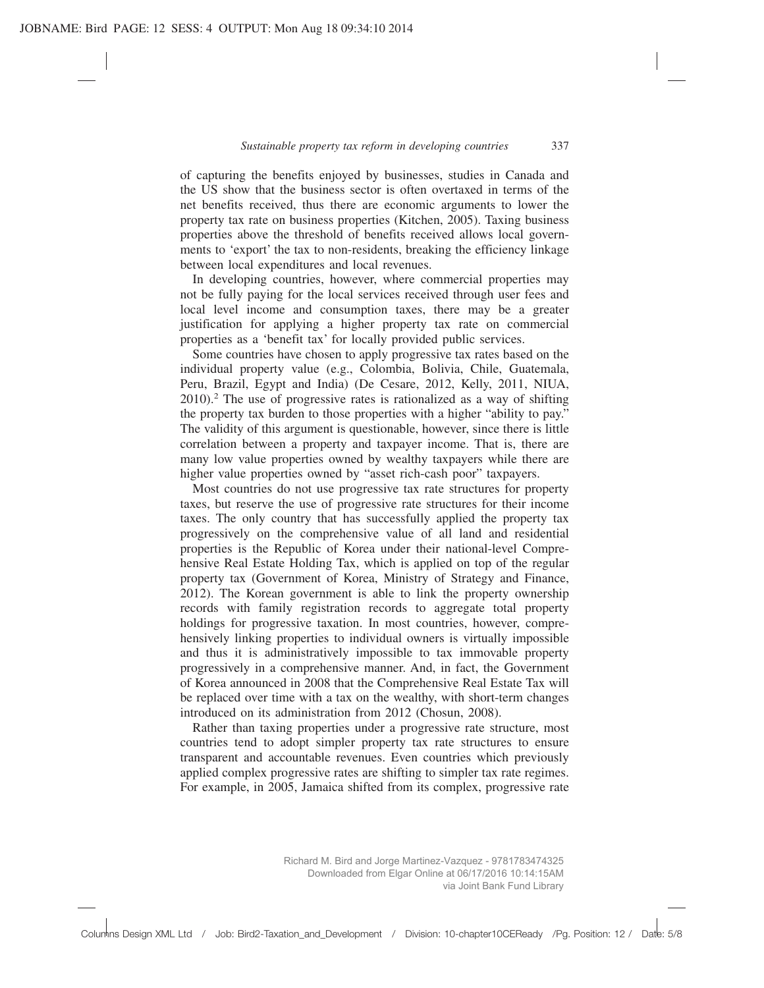of capturing the benefits enjoyed by businesses, studies in Canada and the US show that the business sector is often overtaxed in terms of the net benefits received, thus there are economic arguments to lower the property tax rate on business properties (Kitchen, 2005). Taxing business properties above the threshold of benefits received allows local governments to 'export' the tax to non-residents, breaking the efficiency linkage between local expenditures and local revenues.

In developing countries, however, where commercial properties may not be fully paying for the local services received through user fees and local level income and consumption taxes, there may be a greater justification for applying a higher property tax rate on commercial properties as a 'benefit tax' for locally provided public services.

Some countries have chosen to apply progressive tax rates based on the individual property value (e.g., Colombia, Bolivia, Chile, Guatemala, Peru, Brazil, Egypt and India) (De Cesare, 2012, Kelly, 2011, NIUA,  $2010$ ).<sup>2</sup> The use of progressive rates is rationalized as a way of shifting the property tax burden to those properties with a higher "ability to pay." The validity of this argument is questionable, however, since there is little correlation between a property and taxpayer income. That is, there are many low value properties owned by wealthy taxpayers while there are higher value properties owned by "asset rich-cash poor" taxpayers.

Most countries do not use progressive tax rate structures for property taxes, but reserve the use of progressive rate structures for their income taxes. The only country that has successfully applied the property tax progressively on the comprehensive value of all land and residential properties is the Republic of Korea under their national-level Comprehensive Real Estate Holding Tax, which is applied on top of the regular property tax (Government of Korea, Ministry of Strategy and Finance, 2012). The Korean government is able to link the property ownership records with family registration records to aggregate total property holdings for progressive taxation. In most countries, however, comprehensively linking properties to individual owners is virtually impossible and thus it is administratively impossible to tax immovable property progressively in a comprehensive manner. And, in fact, the Government of Korea announced in 2008 that the Comprehensive Real Estate Tax will be replaced over time with a tax on the wealthy, with short-term changes introduced on its administration from 2012 (Chosun, 2008).

Rather than taxing properties under a progressive rate structure, most countries tend to adopt simpler property tax rate structures to ensure transparent and accountable revenues. Even countries which previously applied complex progressive rates are shifting to simpler tax rate regimes. For example, in 2005, Jamaica shifted from its complex, progressive rate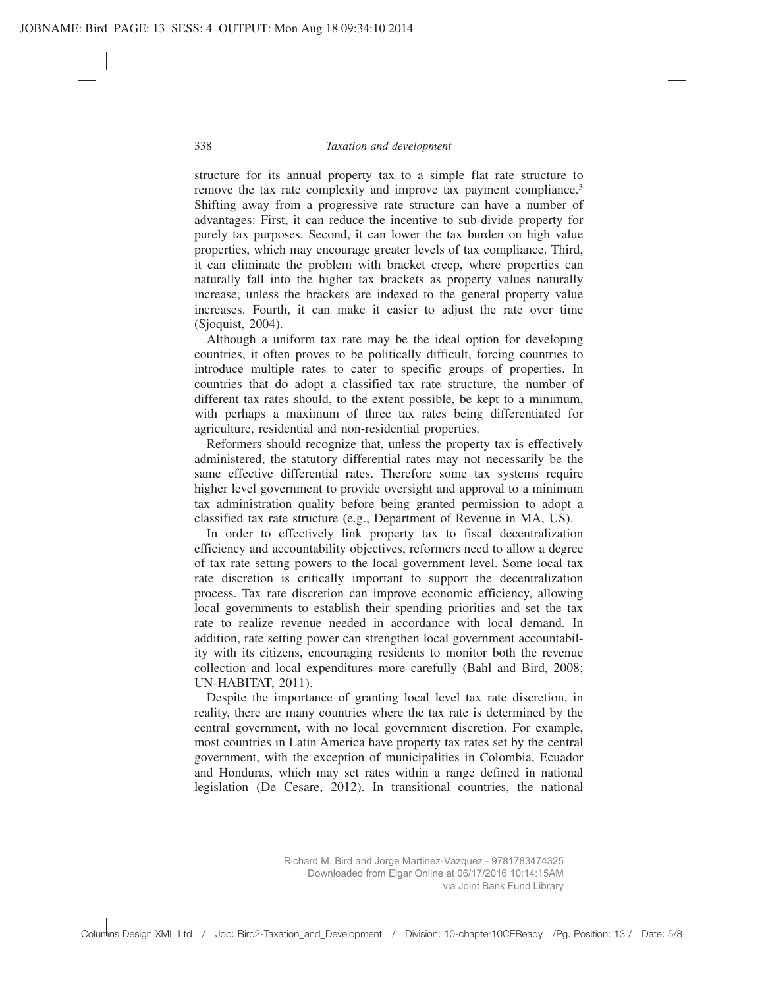structure for its annual property tax to a simple flat rate structure to remove the tax rate complexity and improve tax payment compliance.<sup>3</sup> Shifting away from a progressive rate structure can have a number of advantages: First, it can reduce the incentive to sub-divide property for purely tax purposes. Second, it can lower the tax burden on high value properties, which may encourage greater levels of tax compliance. Third, it can eliminate the problem with bracket creep, where properties can naturally fall into the higher tax brackets as property values naturally increase, unless the brackets are indexed to the general property value increases. Fourth, it can make it easier to adjust the rate over time (Sjoquist, 2004).

Although a uniform tax rate may be the ideal option for developing countries, it often proves to be politically difficult, forcing countries to introduce multiple rates to cater to specific groups of properties. In countries that do adopt a classified tax rate structure, the number of different tax rates should, to the extent possible, be kept to a minimum, with perhaps a maximum of three tax rates being differentiated for agriculture, residential and non-residential properties.

Reformers should recognize that, unless the property tax is effectively administered, the statutory differential rates may not necessarily be the same effective differential rates. Therefore some tax systems require higher level government to provide oversight and approval to a minimum tax administration quality before being granted permission to adopt a classified tax rate structure (e.g., Department of Revenue in MA, US).

In order to effectively link property tax to fiscal decentralization efficiency and accountability objectives, reformers need to allow a degree of tax rate setting powers to the local government level. Some local tax rate discretion is critically important to support the decentralization process. Tax rate discretion can improve economic efficiency, allowing local governments to establish their spending priorities and set the tax rate to realize revenue needed in accordance with local demand. In addition, rate setting power can strengthen local government accountability with its citizens, encouraging residents to monitor both the revenue collection and local expenditures more carefully (Bahl and Bird, 2008; UN-HABITAT, 2011).

Despite the importance of granting local level tax rate discretion, in reality, there are many countries where the tax rate is determined by the central government, with no local government discretion. For example, most countries in Latin America have property tax rates set by the central government, with the exception of municipalities in Colombia, Ecuador and Honduras, which may set rates within a range defined in national legislation (De Cesare, 2012). In transitional countries, the national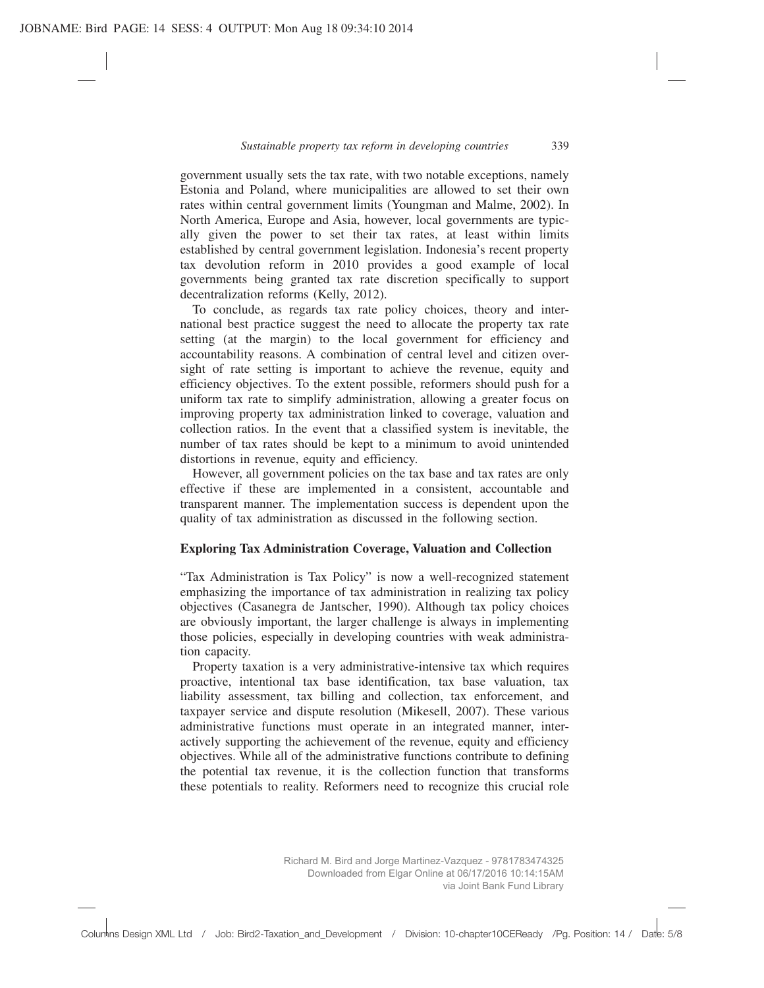government usually sets the tax rate, with two notable exceptions, namely Estonia and Poland, where municipalities are allowed to set their own rates within central government limits (Youngman and Malme, 2002). In North America, Europe and Asia, however, local governments are typically given the power to set their tax rates, at least within limits established by central government legislation. Indonesia's recent property tax devolution reform in 2010 provides a good example of local governments being granted tax rate discretion specifically to support decentralization reforms (Kelly, 2012).

To conclude, as regards tax rate policy choices, theory and international best practice suggest the need to allocate the property tax rate setting (at the margin) to the local government for efficiency and accountability reasons. A combination of central level and citizen oversight of rate setting is important to achieve the revenue, equity and efficiency objectives. To the extent possible, reformers should push for a uniform tax rate to simplify administration, allowing a greater focus on improving property tax administration linked to coverage, valuation and collection ratios. In the event that a classified system is inevitable, the number of tax rates should be kept to a minimum to avoid unintended distortions in revenue, equity and efficiency.

However, all government policies on the tax base and tax rates are only effective if these are implemented in a consistent, accountable and transparent manner. The implementation success is dependent upon the quality of tax administration as discussed in the following section.

#### **Exploring Tax Administration Coverage, Valuation and Collection**

"Tax Administration is Tax Policy" is now a well-recognized statement emphasizing the importance of tax administration in realizing tax policy objectives (Casanegra de Jantscher, 1990). Although tax policy choices are obviously important, the larger challenge is always in implementing those policies, especially in developing countries with weak administration capacity.

Property taxation is a very administrative-intensive tax which requires proactive, intentional tax base identification, tax base valuation, tax liability assessment, tax billing and collection, tax enforcement, and taxpayer service and dispute resolution (Mikesell, 2007). These various administrative functions must operate in an integrated manner, interactively supporting the achievement of the revenue, equity and efficiency objectives. While all of the administrative functions contribute to defining the potential tax revenue, it is the collection function that transforms these potentials to reality. Reformers need to recognize this crucial role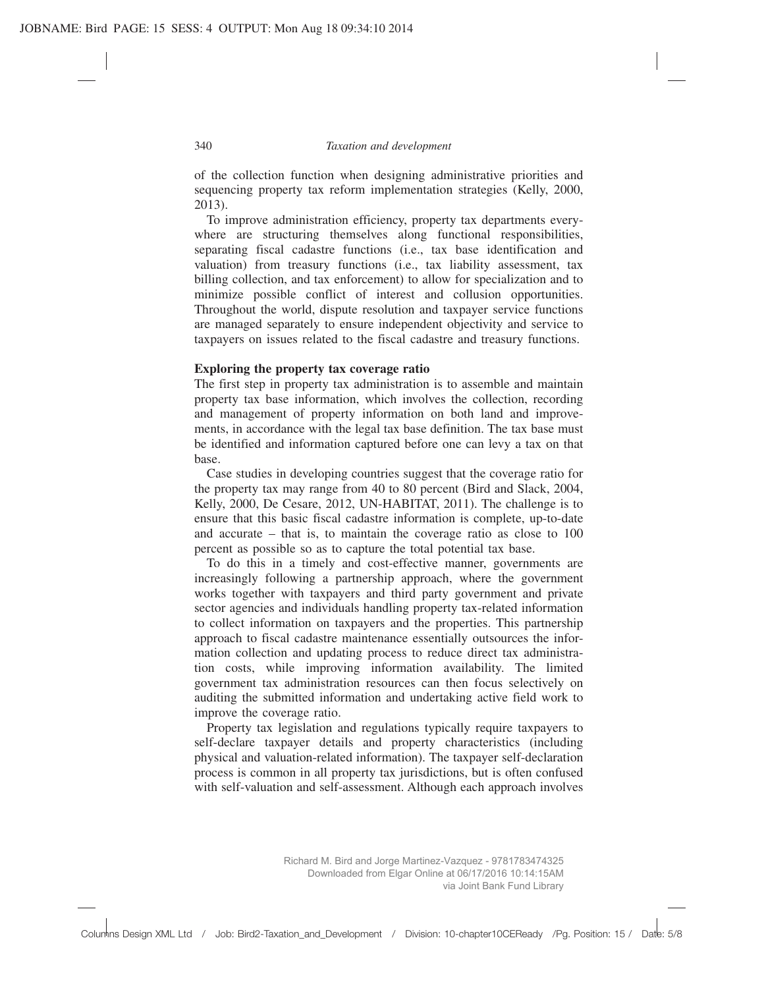of the collection function when designing administrative priorities and sequencing property tax reform implementation strategies (Kelly, 2000, 2013).

To improve administration efficiency, property tax departments everywhere are structuring themselves along functional responsibilities, separating fiscal cadastre functions (i.e., tax base identification and valuation) from treasury functions (i.e., tax liability assessment, tax billing collection, and tax enforcement) to allow for specialization and to minimize possible conflict of interest and collusion opportunities. Throughout the world, dispute resolution and taxpayer service functions are managed separately to ensure independent objectivity and service to taxpayers on issues related to the fiscal cadastre and treasury functions.

#### **Exploring the property tax coverage ratio**

The first step in property tax administration is to assemble and maintain property tax base information, which involves the collection, recording and management of property information on both land and improvements, in accordance with the legal tax base definition. The tax base must be identified and information captured before one can levy a tax on that base.

Case studies in developing countries suggest that the coverage ratio for the property tax may range from 40 to 80 percent (Bird and Slack, 2004, Kelly, 2000, De Cesare, 2012, UN-HABITAT, 2011). The challenge is to ensure that this basic fiscal cadastre information is complete, up-to-date and accurate – that is, to maintain the coverage ratio as close to 100 percent as possible so as to capture the total potential tax base.

To do this in a timely and cost-effective manner, governments are increasingly following a partnership approach, where the government works together with taxpayers and third party government and private sector agencies and individuals handling property tax-related information to collect information on taxpayers and the properties. This partnership approach to fiscal cadastre maintenance essentially outsources the information collection and updating process to reduce direct tax administration costs, while improving information availability. The limited government tax administration resources can then focus selectively on auditing the submitted information and undertaking active field work to improve the coverage ratio.

Property tax legislation and regulations typically require taxpayers to self-declare taxpayer details and property characteristics (including physical and valuation-related information). The taxpayer self-declaration process is common in all property tax jurisdictions, but is often confused with self-valuation and self-assessment. Although each approach involves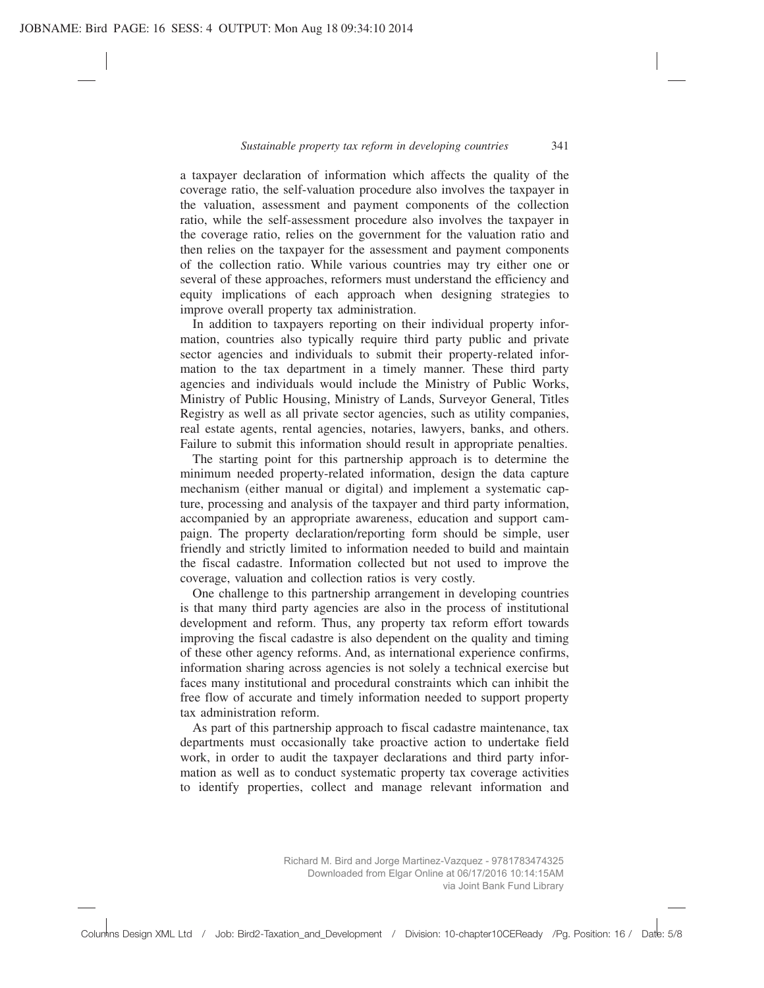a taxpayer declaration of information which affects the quality of the coverage ratio, the self-valuation procedure also involves the taxpayer in the valuation, assessment and payment components of the collection ratio, while the self-assessment procedure also involves the taxpayer in the coverage ratio, relies on the government for the valuation ratio and then relies on the taxpayer for the assessment and payment components of the collection ratio. While various countries may try either one or several of these approaches, reformers must understand the efficiency and equity implications of each approach when designing strategies to improve overall property tax administration.

In addition to taxpayers reporting on their individual property information, countries also typically require third party public and private sector agencies and individuals to submit their property-related information to the tax department in a timely manner. These third party agencies and individuals would include the Ministry of Public Works, Ministry of Public Housing, Ministry of Lands, Surveyor General, Titles Registry as well as all private sector agencies, such as utility companies, real estate agents, rental agencies, notaries, lawyers, banks, and others. Failure to submit this information should result in appropriate penalties.

The starting point for this partnership approach is to determine the minimum needed property-related information, design the data capture mechanism (either manual or digital) and implement a systematic capture, processing and analysis of the taxpayer and third party information, accompanied by an appropriate awareness, education and support campaign. The property declaration/reporting form should be simple, user friendly and strictly limited to information needed to build and maintain the fiscal cadastre. Information collected but not used to improve the coverage, valuation and collection ratios is very costly.

One challenge to this partnership arrangement in developing countries is that many third party agencies are also in the process of institutional development and reform. Thus, any property tax reform effort towards improving the fiscal cadastre is also dependent on the quality and timing of these other agency reforms. And, as international experience confirms, information sharing across agencies is not solely a technical exercise but faces many institutional and procedural constraints which can inhibit the free flow of accurate and timely information needed to support property tax administration reform.

As part of this partnership approach to fiscal cadastre maintenance, tax departments must occasionally take proactive action to undertake field work, in order to audit the taxpayer declarations and third party information as well as to conduct systematic property tax coverage activities to identify properties, collect and manage relevant information and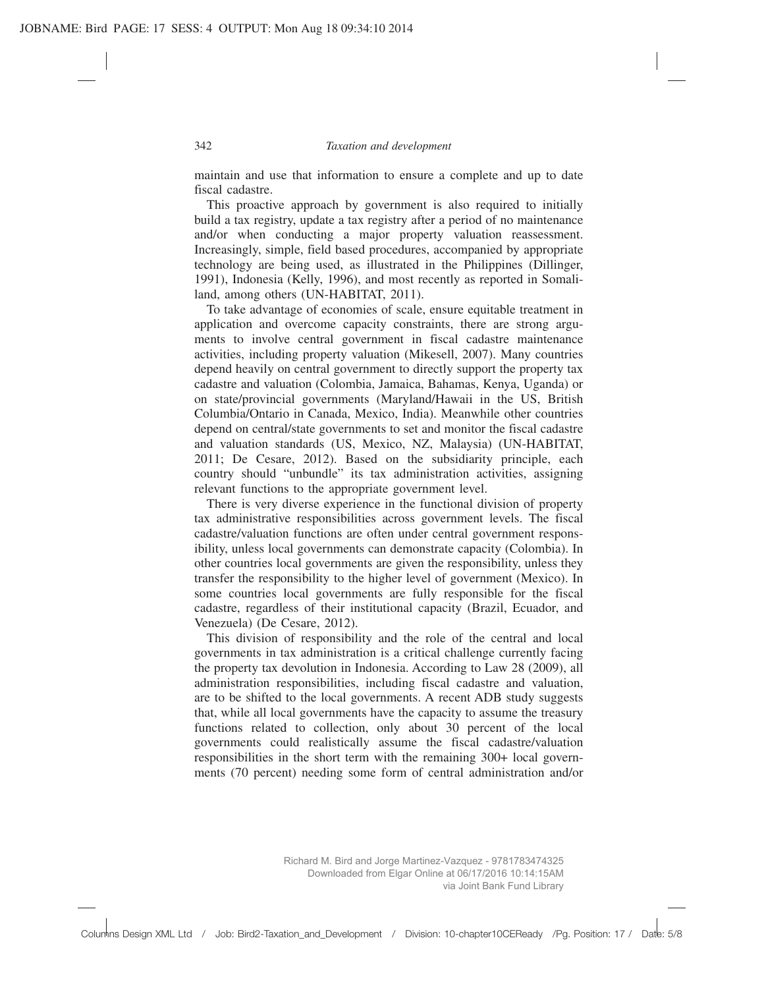maintain and use that information to ensure a complete and up to date fiscal cadastre.

This proactive approach by government is also required to initially build a tax registry, update a tax registry after a period of no maintenance and/or when conducting a major property valuation reassessment. Increasingly, simple, field based procedures, accompanied by appropriate technology are being used, as illustrated in the Philippines (Dillinger, 1991), Indonesia (Kelly, 1996), and most recently as reported in Somaliland, among others (UN-HABITAT, 2011).

To take advantage of economies of scale, ensure equitable treatment in application and overcome capacity constraints, there are strong arguments to involve central government in fiscal cadastre maintenance activities, including property valuation (Mikesell, 2007). Many countries depend heavily on central government to directly support the property tax cadastre and valuation (Colombia, Jamaica, Bahamas, Kenya, Uganda) or on state/provincial governments (Maryland/Hawaii in the US, British Columbia/Ontario in Canada, Mexico, India). Meanwhile other countries depend on central/state governments to set and monitor the fiscal cadastre and valuation standards (US, Mexico, NZ, Malaysia) (UN-HABITAT, 2011; De Cesare, 2012). Based on the subsidiarity principle, each country should "unbundle" its tax administration activities, assigning relevant functions to the appropriate government level.

There is very diverse experience in the functional division of property tax administrative responsibilities across government levels. The fiscal cadastre/valuation functions are often under central government responsibility, unless local governments can demonstrate capacity (Colombia). In other countries local governments are given the responsibility, unless they transfer the responsibility to the higher level of government (Mexico). In some countries local governments are fully responsible for the fiscal cadastre, regardless of their institutional capacity (Brazil, Ecuador, and Venezuela) (De Cesare, 2012).

This division of responsibility and the role of the central and local governments in tax administration is a critical challenge currently facing the property tax devolution in Indonesia. According to Law 28 (2009), all administration responsibilities, including fiscal cadastre and valuation, are to be shifted to the local governments. A recent ADB study suggests that, while all local governments have the capacity to assume the treasury functions related to collection, only about 30 percent of the local governments could realistically assume the fiscal cadastre/valuation responsibilities in the short term with the remaining 300+ local governments (70 percent) needing some form of central administration and/or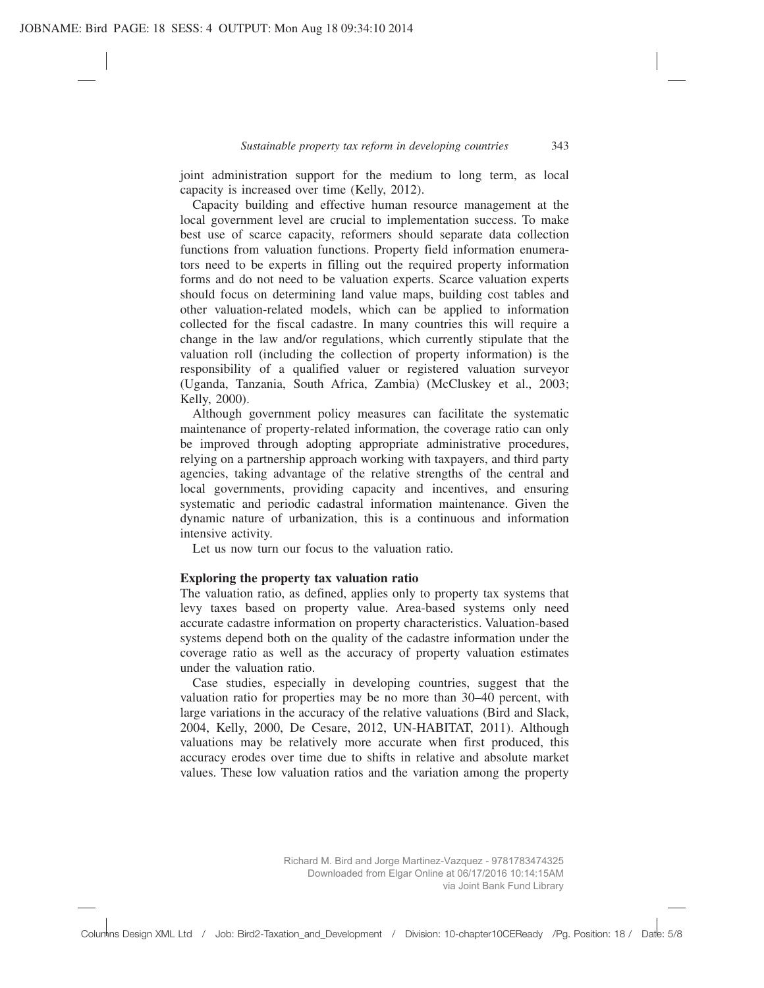joint administration support for the medium to long term, as local capacity is increased over time (Kelly, 2012).

Capacity building and effective human resource management at the local government level are crucial to implementation success. To make best use of scarce capacity, reformers should separate data collection functions from valuation functions. Property field information enumerators need to be experts in filling out the required property information forms and do not need to be valuation experts. Scarce valuation experts should focus on determining land value maps, building cost tables and other valuation-related models, which can be applied to information collected for the fiscal cadastre. In many countries this will require a change in the law and/or regulations, which currently stipulate that the valuation roll (including the collection of property information) is the responsibility of a qualified valuer or registered valuation surveyor (Uganda, Tanzania, South Africa, Zambia) (McCluskey et al., 2003; Kelly, 2000).

Although government policy measures can facilitate the systematic maintenance of property-related information, the coverage ratio can only be improved through adopting appropriate administrative procedures, relying on a partnership approach working with taxpayers, and third party agencies, taking advantage of the relative strengths of the central and local governments, providing capacity and incentives, and ensuring systematic and periodic cadastral information maintenance. Given the dynamic nature of urbanization, this is a continuous and information intensive activity.

Let us now turn our focus to the valuation ratio.

#### **Exploring the property tax valuation ratio**

The valuation ratio, as defined, applies only to property tax systems that levy taxes based on property value. Area-based systems only need accurate cadastre information on property characteristics. Valuation-based systems depend both on the quality of the cadastre information under the coverage ratio as well as the accuracy of property valuation estimates under the valuation ratio.

Case studies, especially in developing countries, suggest that the valuation ratio for properties may be no more than 30–40 percent, with large variations in the accuracy of the relative valuations (Bird and Slack, 2004, Kelly, 2000, De Cesare, 2012, UN-HABITAT, 2011). Although valuations may be relatively more accurate when first produced, this accuracy erodes over time due to shifts in relative and absolute market values. These low valuation ratios and the variation among the property

> Richard M. Bird and Jorge Martinez-Vazquez - 9781783474325 Downloaded from Elgar Online at 06/17/2016 10:14:15AM via Joint Bank Fund Library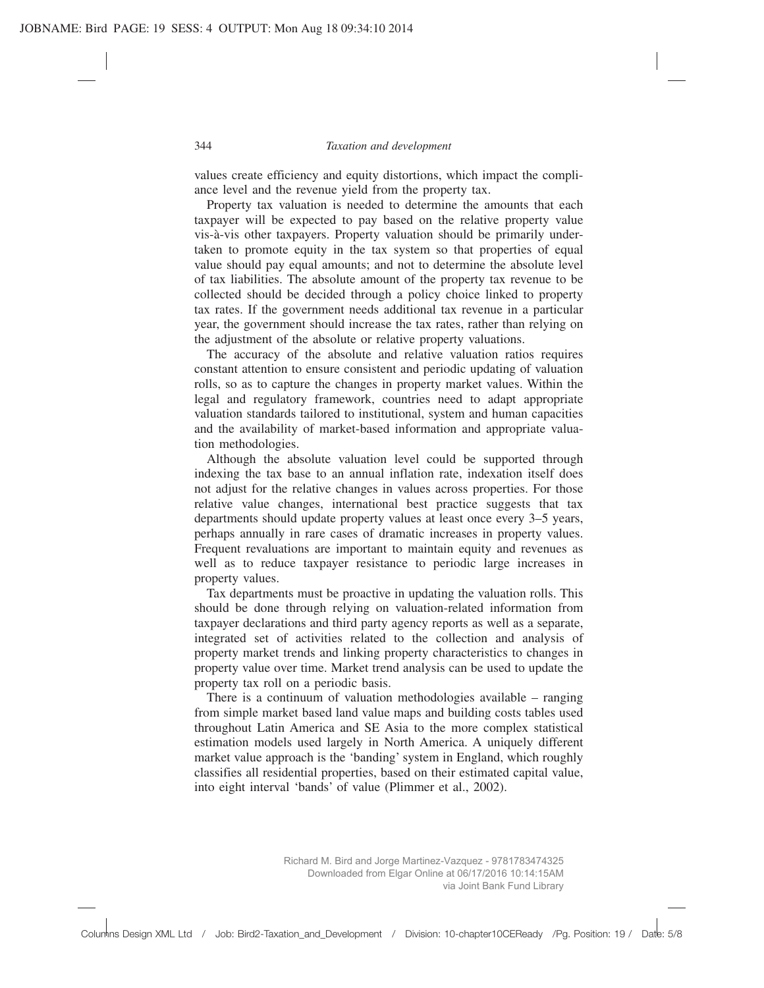values create efficiency and equity distortions, which impact the compliance level and the revenue yield from the property tax.

Property tax valuation is needed to determine the amounts that each taxpayer will be expected to pay based on the relative property value vis-à-vis other taxpayers. Property valuation should be primarily undertaken to promote equity in the tax system so that properties of equal value should pay equal amounts; and not to determine the absolute level of tax liabilities. The absolute amount of the property tax revenue to be collected should be decided through a policy choice linked to property tax rates. If the government needs additional tax revenue in a particular year, the government should increase the tax rates, rather than relying on the adjustment of the absolute or relative property valuations.

The accuracy of the absolute and relative valuation ratios requires constant attention to ensure consistent and periodic updating of valuation rolls, so as to capture the changes in property market values. Within the legal and regulatory framework, countries need to adapt appropriate valuation standards tailored to institutional, system and human capacities and the availability of market-based information and appropriate valuation methodologies.

Although the absolute valuation level could be supported through indexing the tax base to an annual inflation rate, indexation itself does not adjust for the relative changes in values across properties. For those relative value changes, international best practice suggests that tax departments should update property values at least once every 3–5 years, perhaps annually in rare cases of dramatic increases in property values. Frequent revaluations are important to maintain equity and revenues as well as to reduce taxpayer resistance to periodic large increases in property values.

Tax departments must be proactive in updating the valuation rolls. This should be done through relying on valuation-related information from taxpayer declarations and third party agency reports as well as a separate, integrated set of activities related to the collection and analysis of property market trends and linking property characteristics to changes in property value over time. Market trend analysis can be used to update the property tax roll on a periodic basis.

There is a continuum of valuation methodologies available – ranging from simple market based land value maps and building costs tables used throughout Latin America and SE Asia to the more complex statistical estimation models used largely in North America. A uniquely different market value approach is the 'banding' system in England, which roughly classifies all residential properties, based on their estimated capital value, into eight interval 'bands' of value (Plimmer et al., 2002).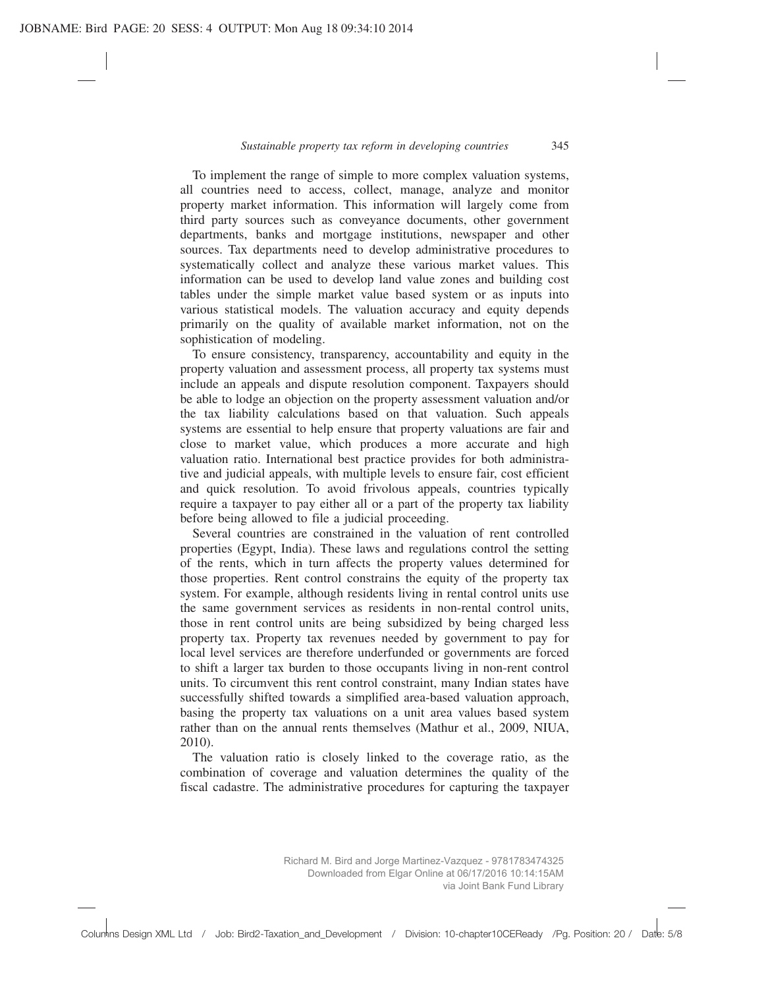To implement the range of simple to more complex valuation systems, all countries need to access, collect, manage, analyze and monitor property market information. This information will largely come from third party sources such as conveyance documents, other government departments, banks and mortgage institutions, newspaper and other sources. Tax departments need to develop administrative procedures to systematically collect and analyze these various market values. This information can be used to develop land value zones and building cost tables under the simple market value based system or as inputs into various statistical models. The valuation accuracy and equity depends primarily on the quality of available market information, not on the sophistication of modeling.

To ensure consistency, transparency, accountability and equity in the property valuation and assessment process, all property tax systems must include an appeals and dispute resolution component. Taxpayers should be able to lodge an objection on the property assessment valuation and/or the tax liability calculations based on that valuation. Such appeals systems are essential to help ensure that property valuations are fair and close to market value, which produces a more accurate and high valuation ratio. International best practice provides for both administrative and judicial appeals, with multiple levels to ensure fair, cost efficient and quick resolution. To avoid frivolous appeals, countries typically require a taxpayer to pay either all or a part of the property tax liability before being allowed to file a judicial proceeding.

Several countries are constrained in the valuation of rent controlled properties (Egypt, India). These laws and regulations control the setting of the rents, which in turn affects the property values determined for those properties. Rent control constrains the equity of the property tax system. For example, although residents living in rental control units use the same government services as residents in non-rental control units, those in rent control units are being subsidized by being charged less property tax. Property tax revenues needed by government to pay for local level services are therefore underfunded or governments are forced to shift a larger tax burden to those occupants living in non-rent control units. To circumvent this rent control constraint, many Indian states have successfully shifted towards a simplified area-based valuation approach, basing the property tax valuations on a unit area values based system rather than on the annual rents themselves (Mathur et al., 2009, NIUA, 2010).

The valuation ratio is closely linked to the coverage ratio, as the combination of coverage and valuation determines the quality of the fiscal cadastre. The administrative procedures for capturing the taxpayer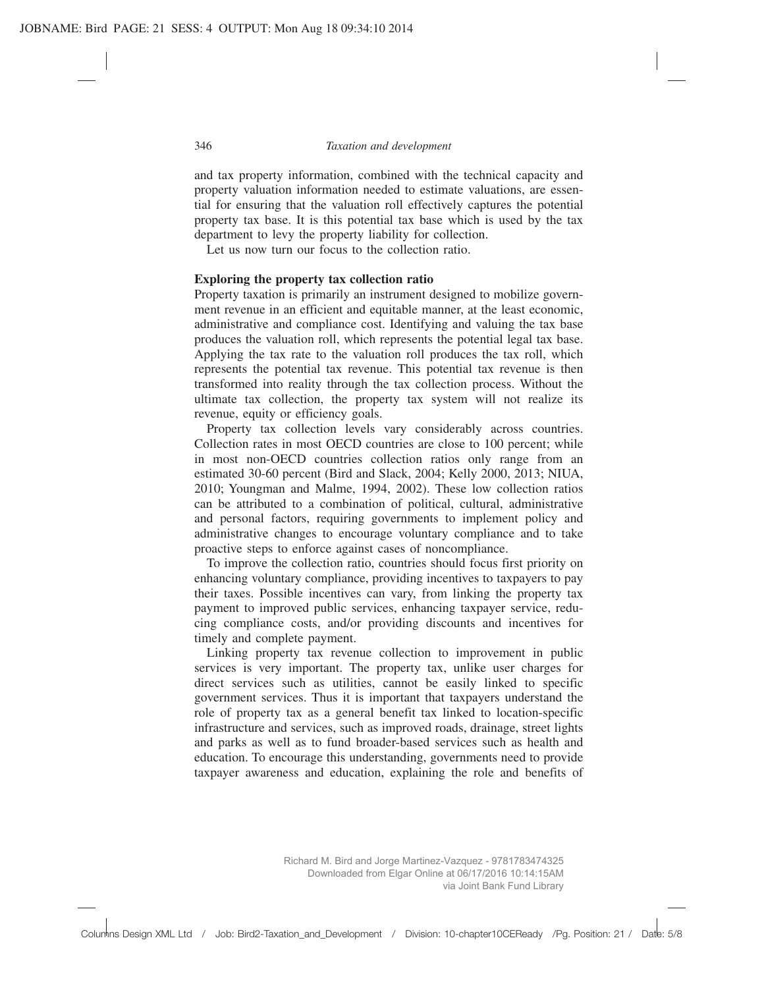and tax property information, combined with the technical capacity and property valuation information needed to estimate valuations, are essential for ensuring that the valuation roll effectively captures the potential property tax base. It is this potential tax base which is used by the tax department to levy the property liability for collection.

Let us now turn our focus to the collection ratio.

#### **Exploring the property tax collection ratio**

Property taxation is primarily an instrument designed to mobilize government revenue in an efficient and equitable manner, at the least economic, administrative and compliance cost. Identifying and valuing the tax base produces the valuation roll, which represents the potential legal tax base. Applying the tax rate to the valuation roll produces the tax roll, which represents the potential tax revenue. This potential tax revenue is then transformed into reality through the tax collection process. Without the ultimate tax collection, the property tax system will not realize its revenue, equity or efficiency goals.

Property tax collection levels vary considerably across countries. Collection rates in most OECD countries are close to 100 percent; while in most non-OECD countries collection ratios only range from an estimated 30-60 percent (Bird and Slack, 2004; Kelly 2000, 2013; NIUA, 2010; Youngman and Malme, 1994, 2002). These low collection ratios can be attributed to a combination of political, cultural, administrative and personal factors, requiring governments to implement policy and administrative changes to encourage voluntary compliance and to take proactive steps to enforce against cases of noncompliance.

To improve the collection ratio, countries should focus first priority on enhancing voluntary compliance, providing incentives to taxpayers to pay their taxes. Possible incentives can vary, from linking the property tax payment to improved public services, enhancing taxpayer service, reducing compliance costs, and/or providing discounts and incentives for timely and complete payment.

Linking property tax revenue collection to improvement in public services is very important. The property tax, unlike user charges for direct services such as utilities, cannot be easily linked to specific government services. Thus it is important that taxpayers understand the role of property tax as a general benefit tax linked to location-specific infrastructure and services, such as improved roads, drainage, street lights and parks as well as to fund broader-based services such as health and education. To encourage this understanding, governments need to provide taxpayer awareness and education, explaining the role and benefits of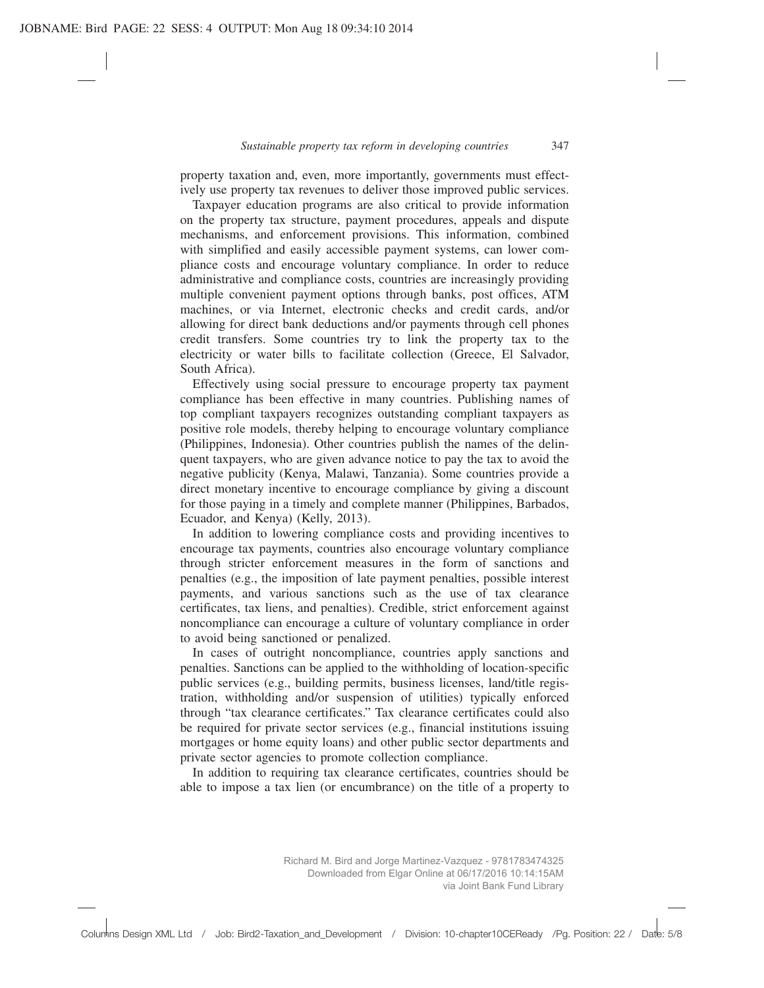property taxation and, even, more importantly, governments must effectively use property tax revenues to deliver those improved public services.

Taxpayer education programs are also critical to provide information on the property tax structure, payment procedures, appeals and dispute mechanisms, and enforcement provisions. This information, combined with simplified and easily accessible payment systems, can lower compliance costs and encourage voluntary compliance. In order to reduce administrative and compliance costs, countries are increasingly providing multiple convenient payment options through banks, post offices, ATM machines, or via Internet, electronic checks and credit cards, and/or allowing for direct bank deductions and/or payments through cell phones credit transfers. Some countries try to link the property tax to the electricity or water bills to facilitate collection (Greece, El Salvador, South Africa).

Effectively using social pressure to encourage property tax payment compliance has been effective in many countries. Publishing names of top compliant taxpayers recognizes outstanding compliant taxpayers as positive role models, thereby helping to encourage voluntary compliance (Philippines, Indonesia). Other countries publish the names of the delinquent taxpayers, who are given advance notice to pay the tax to avoid the negative publicity (Kenya, Malawi, Tanzania). Some countries provide a direct monetary incentive to encourage compliance by giving a discount for those paying in a timely and complete manner (Philippines, Barbados, Ecuador, and Kenya) (Kelly, 2013).

In addition to lowering compliance costs and providing incentives to encourage tax payments, countries also encourage voluntary compliance through stricter enforcement measures in the form of sanctions and penalties (e.g., the imposition of late payment penalties, possible interest payments, and various sanctions such as the use of tax clearance certificates, tax liens, and penalties). Credible, strict enforcement against noncompliance can encourage a culture of voluntary compliance in order to avoid being sanctioned or penalized.

In cases of outright noncompliance, countries apply sanctions and penalties. Sanctions can be applied to the withholding of location-specific public services (e.g., building permits, business licenses, land/title registration, withholding and/or suspension of utilities) typically enforced through "tax clearance certificates." Tax clearance certificates could also be required for private sector services (e.g., financial institutions issuing mortgages or home equity loans) and other public sector departments and private sector agencies to promote collection compliance.

In addition to requiring tax clearance certificates, countries should be able to impose a tax lien (or encumbrance) on the title of a property to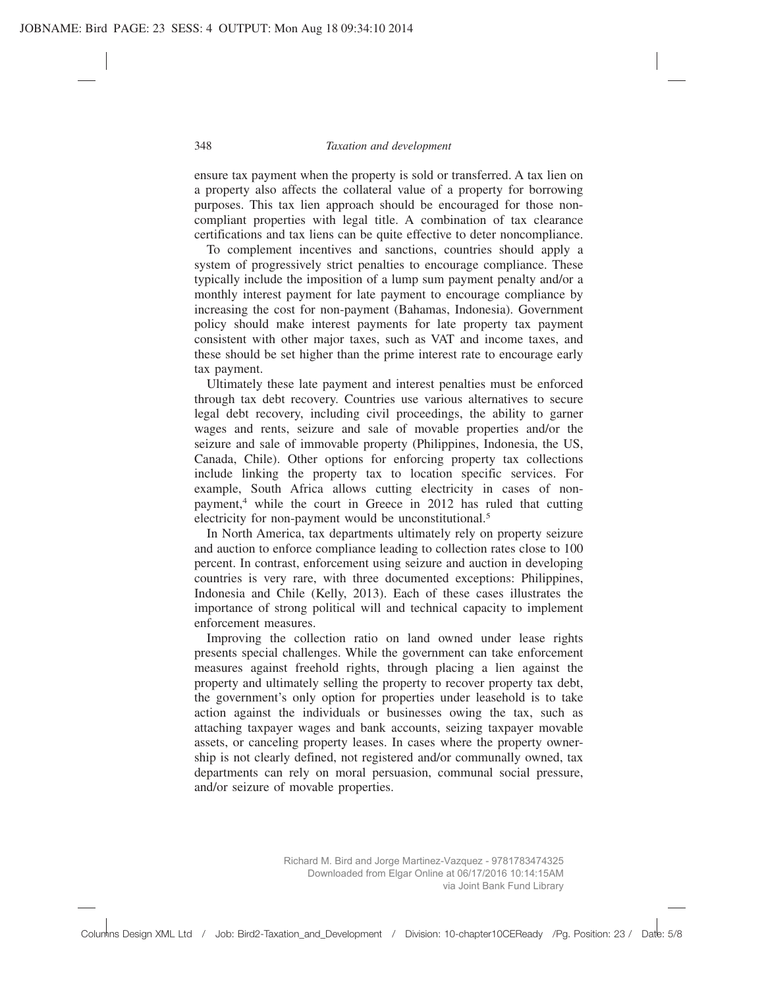ensure tax payment when the property is sold or transferred. A tax lien on a property also affects the collateral value of a property for borrowing purposes. This tax lien approach should be encouraged for those noncompliant properties with legal title. A combination of tax clearance certifications and tax liens can be quite effective to deter noncompliance.

To complement incentives and sanctions, countries should apply a system of progressively strict penalties to encourage compliance. These typically include the imposition of a lump sum payment penalty and/or a monthly interest payment for late payment to encourage compliance by increasing the cost for non-payment (Bahamas, Indonesia). Government policy should make interest payments for late property tax payment consistent with other major taxes, such as VAT and income taxes, and these should be set higher than the prime interest rate to encourage early tax payment.

Ultimately these late payment and interest penalties must be enforced through tax debt recovery. Countries use various alternatives to secure legal debt recovery, including civil proceedings, the ability to garner wages and rents, seizure and sale of movable properties and/or the seizure and sale of immovable property (Philippines, Indonesia, the US, Canada, Chile). Other options for enforcing property tax collections include linking the property tax to location specific services. For example, South Africa allows cutting electricity in cases of nonpayment,<sup>4</sup> while the court in Greece in 2012 has ruled that cutting electricity for non-payment would be unconstitutional.<sup>5</sup>

In North America, tax departments ultimately rely on property seizure and auction to enforce compliance leading to collection rates close to 100 percent. In contrast, enforcement using seizure and auction in developing countries is very rare, with three documented exceptions: Philippines, Indonesia and Chile (Kelly, 2013). Each of these cases illustrates the importance of strong political will and technical capacity to implement enforcement measures.

Improving the collection ratio on land owned under lease rights presents special challenges. While the government can take enforcement measures against freehold rights, through placing a lien against the property and ultimately selling the property to recover property tax debt, the government's only option for properties under leasehold is to take action against the individuals or businesses owing the tax, such as attaching taxpayer wages and bank accounts, seizing taxpayer movable assets, or canceling property leases. In cases where the property ownership is not clearly defined, not registered and/or communally owned, tax departments can rely on moral persuasion, communal social pressure, and/or seizure of movable properties.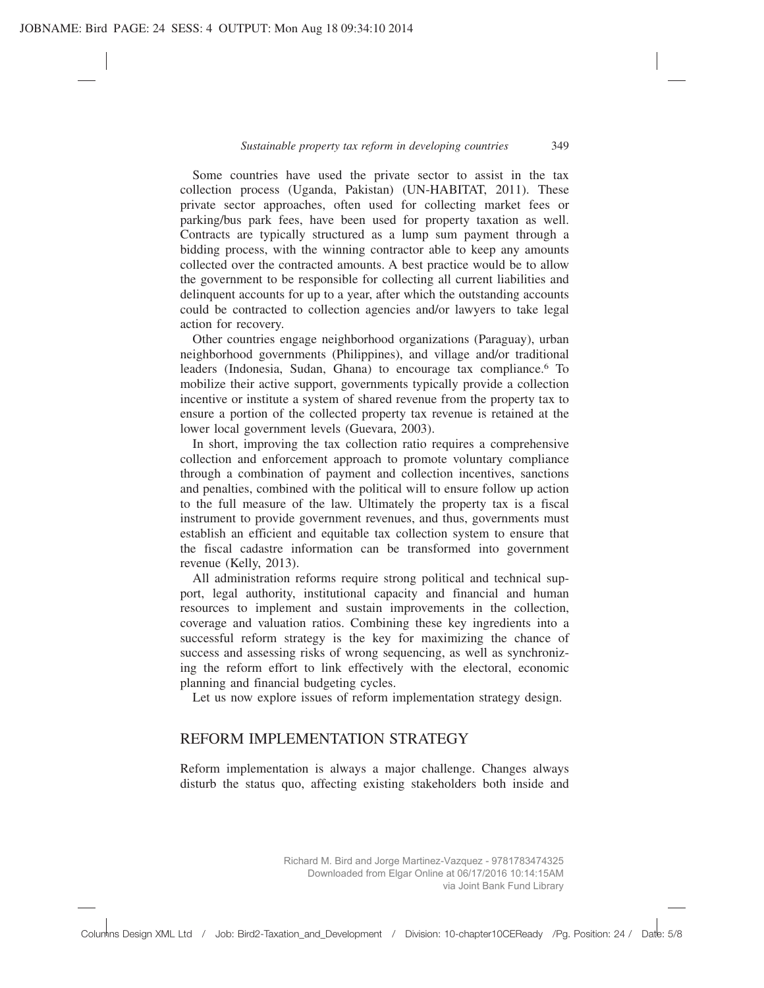Some countries have used the private sector to assist in the tax collection process (Uganda, Pakistan) (UN-HABITAT, 2011). These private sector approaches, often used for collecting market fees or parking/bus park fees, have been used for property taxation as well. Contracts are typically structured as a lump sum payment through a bidding process, with the winning contractor able to keep any amounts collected over the contracted amounts. A best practice would be to allow the government to be responsible for collecting all current liabilities and delinquent accounts for up to a year, after which the outstanding accounts could be contracted to collection agencies and/or lawyers to take legal action for recovery.

Other countries engage neighborhood organizations (Paraguay), urban neighborhood governments (Philippines), and village and/or traditional leaders (Indonesia, Sudan, Ghana) to encourage tax compliance.<sup>6</sup> To mobilize their active support, governments typically provide a collection incentive or institute a system of shared revenue from the property tax to ensure a portion of the collected property tax revenue is retained at the lower local government levels (Guevara, 2003).

In short, improving the tax collection ratio requires a comprehensive collection and enforcement approach to promote voluntary compliance through a combination of payment and collection incentives, sanctions and penalties, combined with the political will to ensure follow up action to the full measure of the law. Ultimately the property tax is a fiscal instrument to provide government revenues, and thus, governments must establish an efficient and equitable tax collection system to ensure that the fiscal cadastre information can be transformed into government revenue (Kelly, 2013).

All administration reforms require strong political and technical support, legal authority, institutional capacity and financial and human resources to implement and sustain improvements in the collection, coverage and valuation ratios. Combining these key ingredients into a successful reform strategy is the key for maximizing the chance of success and assessing risks of wrong sequencing, as well as synchronizing the reform effort to link effectively with the electoral, economic planning and financial budgeting cycles.

Let us now explore issues of reform implementation strategy design.

## REFORM IMPLEMENTATION STRATEGY

Reform implementation is always a major challenge. Changes always disturb the status quo, affecting existing stakeholders both inside and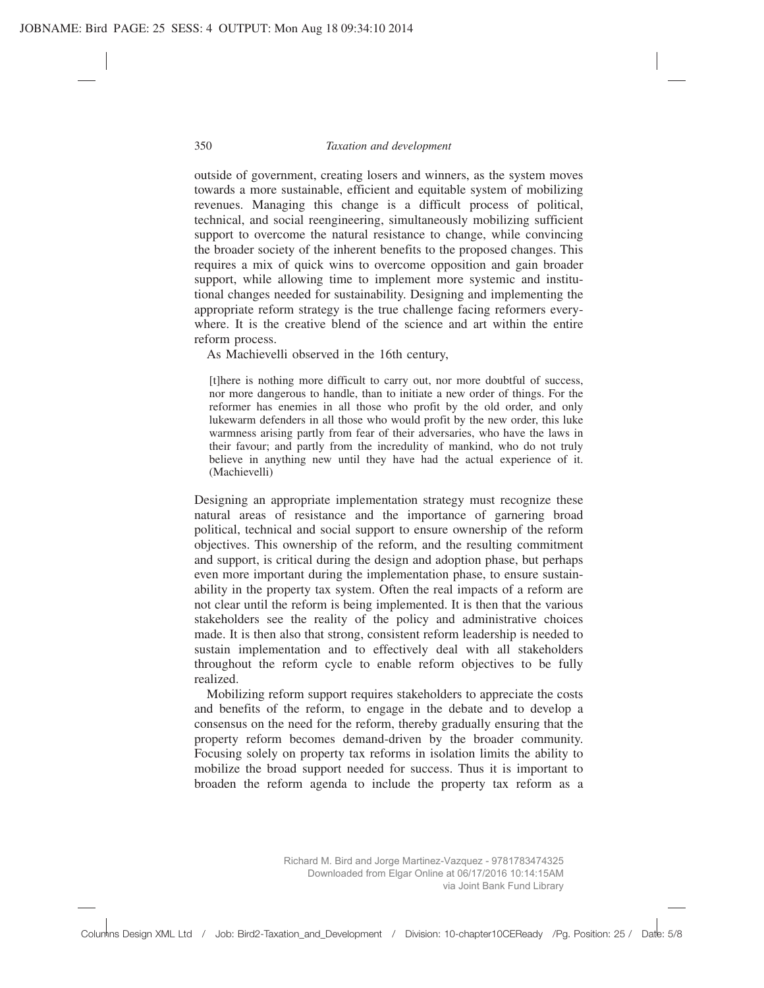outside of government, creating losers and winners, as the system moves towards a more sustainable, efficient and equitable system of mobilizing revenues. Managing this change is a difficult process of political, technical, and social reengineering, simultaneously mobilizing sufficient support to overcome the natural resistance to change, while convincing the broader society of the inherent benefits to the proposed changes. This requires a mix of quick wins to overcome opposition and gain broader support, while allowing time to implement more systemic and institutional changes needed for sustainability. Designing and implementing the appropriate reform strategy is the true challenge facing reformers everywhere. It is the creative blend of the science and art within the entire reform process.

As Machievelli observed in the 16th century,

[t]here is nothing more difficult to carry out, nor more doubtful of success, nor more dangerous to handle, than to initiate a new order of things. For the reformer has enemies in all those who profit by the old order, and only lukewarm defenders in all those who would profit by the new order, this luke warmness arising partly from fear of their adversaries, who have the laws in their favour; and partly from the incredulity of mankind, who do not truly believe in anything new until they have had the actual experience of it. (Machievelli)

Designing an appropriate implementation strategy must recognize these natural areas of resistance and the importance of garnering broad political, technical and social support to ensure ownership of the reform objectives. This ownership of the reform, and the resulting commitment and support, is critical during the design and adoption phase, but perhaps even more important during the implementation phase, to ensure sustainability in the property tax system. Often the real impacts of a reform are not clear until the reform is being implemented. It is then that the various stakeholders see the reality of the policy and administrative choices made. It is then also that strong, consistent reform leadership is needed to sustain implementation and to effectively deal with all stakeholders throughout the reform cycle to enable reform objectives to be fully realized.

Mobilizing reform support requires stakeholders to appreciate the costs and benefits of the reform, to engage in the debate and to develop a consensus on the need for the reform, thereby gradually ensuring that the property reform becomes demand-driven by the broader community. Focusing solely on property tax reforms in isolation limits the ability to mobilize the broad support needed for success. Thus it is important to broaden the reform agenda to include the property tax reform as a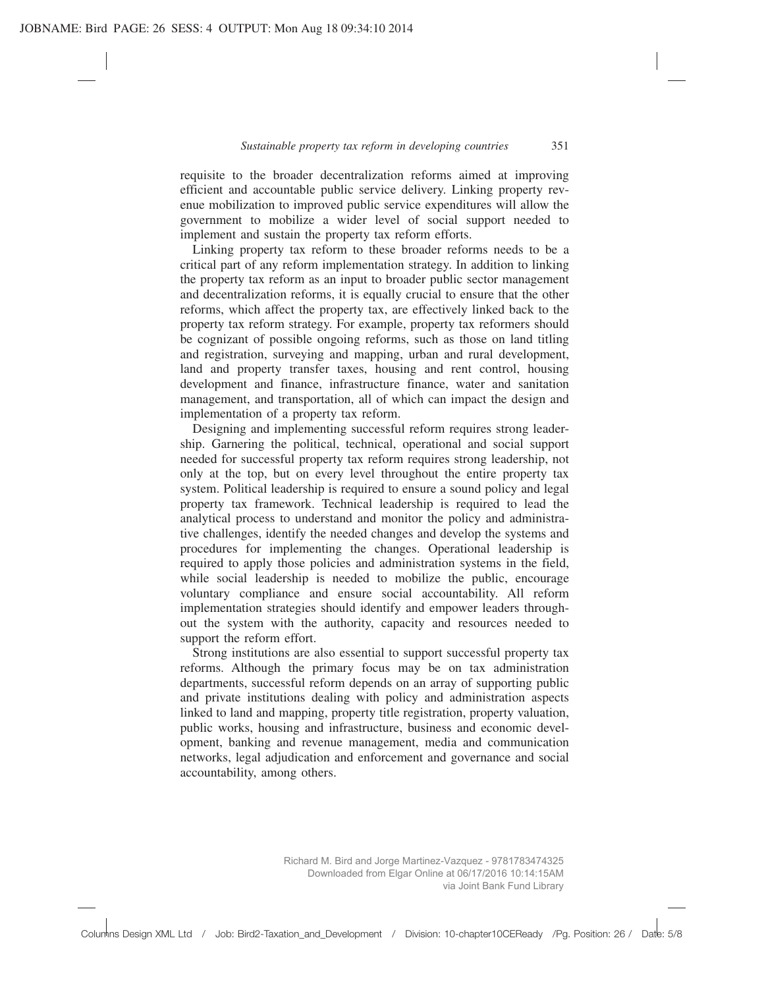requisite to the broader decentralization reforms aimed at improving efficient and accountable public service delivery. Linking property revenue mobilization to improved public service expenditures will allow the government to mobilize a wider level of social support needed to implement and sustain the property tax reform efforts.

Linking property tax reform to these broader reforms needs to be a critical part of any reform implementation strategy. In addition to linking the property tax reform as an input to broader public sector management and decentralization reforms, it is equally crucial to ensure that the other reforms, which affect the property tax, are effectively linked back to the property tax reform strategy. For example, property tax reformers should be cognizant of possible ongoing reforms, such as those on land titling and registration, surveying and mapping, urban and rural development, land and property transfer taxes, housing and rent control, housing development and finance, infrastructure finance, water and sanitation management, and transportation, all of which can impact the design and implementation of a property tax reform.

Designing and implementing successful reform requires strong leadership. Garnering the political, technical, operational and social support needed for successful property tax reform requires strong leadership, not only at the top, but on every level throughout the entire property tax system. Political leadership is required to ensure a sound policy and legal property tax framework. Technical leadership is required to lead the analytical process to understand and monitor the policy and administrative challenges, identify the needed changes and develop the systems and procedures for implementing the changes. Operational leadership is required to apply those policies and administration systems in the field, while social leadership is needed to mobilize the public, encourage voluntary compliance and ensure social accountability. All reform implementation strategies should identify and empower leaders throughout the system with the authority, capacity and resources needed to support the reform effort.

Strong institutions are also essential to support successful property tax reforms. Although the primary focus may be on tax administration departments, successful reform depends on an array of supporting public and private institutions dealing with policy and administration aspects linked to land and mapping, property title registration, property valuation, public works, housing and infrastructure, business and economic development, banking and revenue management, media and communication networks, legal adjudication and enforcement and governance and social accountability, among others.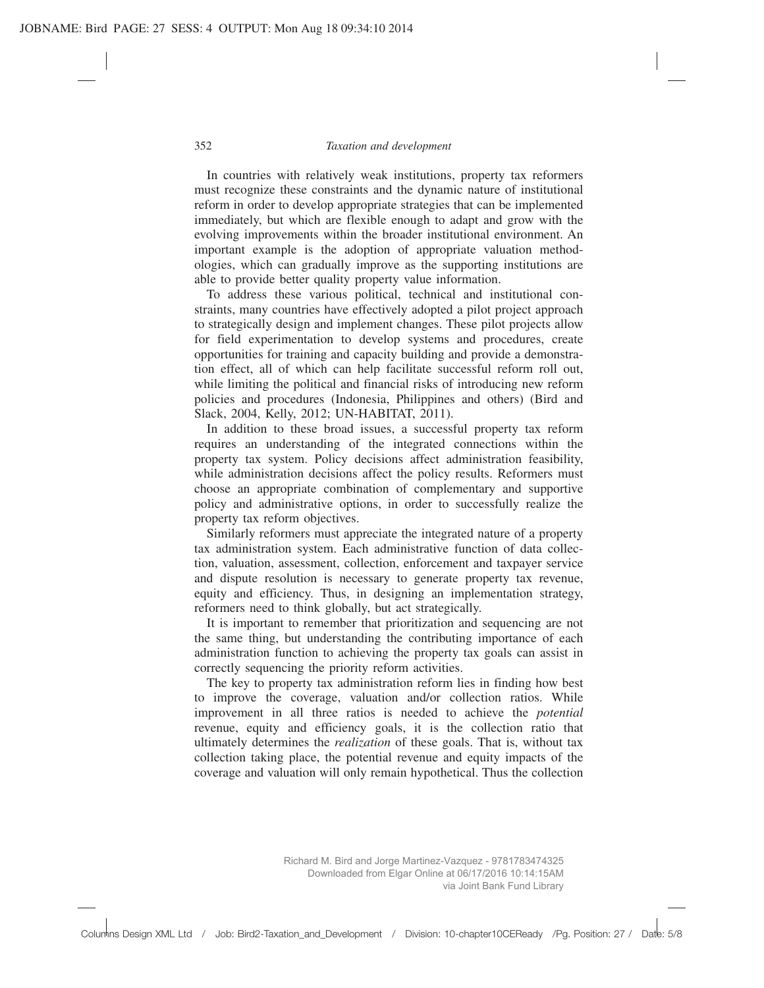In countries with relatively weak institutions, property tax reformers must recognize these constraints and the dynamic nature of institutional reform in order to develop appropriate strategies that can be implemented immediately, but which are flexible enough to adapt and grow with the evolving improvements within the broader institutional environment. An important example is the adoption of appropriate valuation methodologies, which can gradually improve as the supporting institutions are able to provide better quality property value information.

To address these various political, technical and institutional constraints, many countries have effectively adopted a pilot project approach to strategically design and implement changes. These pilot projects allow for field experimentation to develop systems and procedures, create opportunities for training and capacity building and provide a demonstration effect, all of which can help facilitate successful reform roll out, while limiting the political and financial risks of introducing new reform policies and procedures (Indonesia, Philippines and others) (Bird and Slack, 2004, Kelly, 2012; UN-HABITAT, 2011).

In addition to these broad issues, a successful property tax reform requires an understanding of the integrated connections within the property tax system. Policy decisions affect administration feasibility, while administration decisions affect the policy results. Reformers must choose an appropriate combination of complementary and supportive policy and administrative options, in order to successfully realize the property tax reform objectives.

Similarly reformers must appreciate the integrated nature of a property tax administration system. Each administrative function of data collection, valuation, assessment, collection, enforcement and taxpayer service and dispute resolution is necessary to generate property tax revenue, equity and efficiency. Thus, in designing an implementation strategy, reformers need to think globally, but act strategically.

It is important to remember that prioritization and sequencing are not the same thing, but understanding the contributing importance of each administration function to achieving the property tax goals can assist in correctly sequencing the priority reform activities.

The key to property tax administration reform lies in finding how best to improve the coverage, valuation and/or collection ratios. While improvement in all three ratios is needed to achieve the *potential* revenue, equity and efficiency goals, it is the collection ratio that ultimately determines the *realization* of these goals. That is, without tax collection taking place, the potential revenue and equity impacts of the coverage and valuation will only remain hypothetical. Thus the collection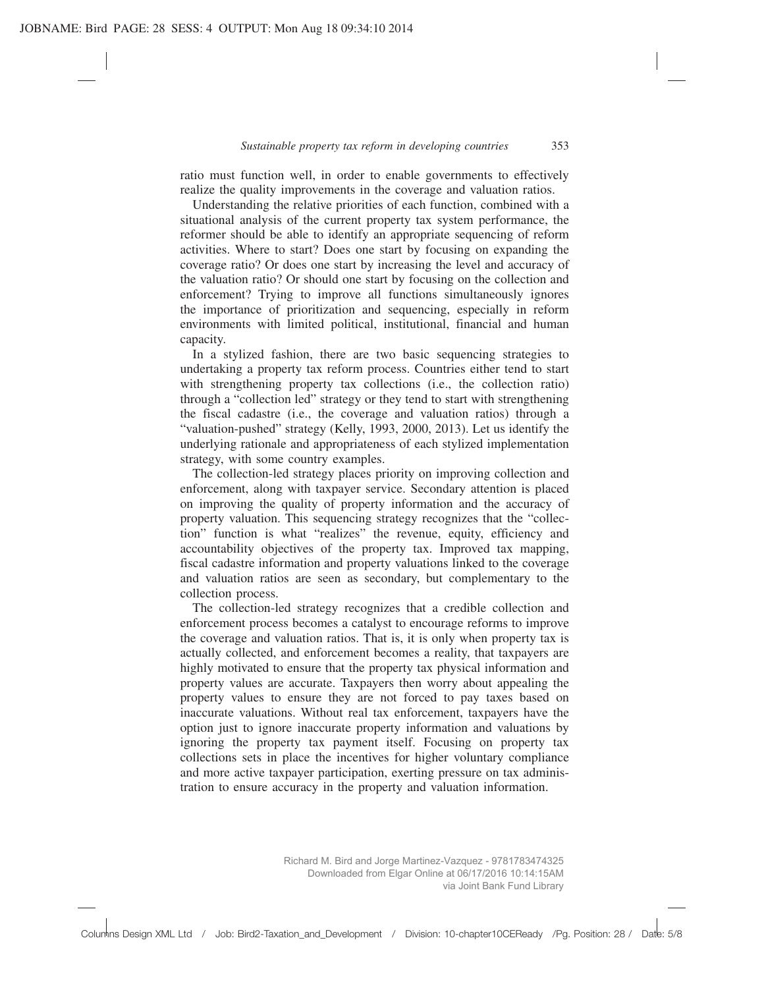ratio must function well, in order to enable governments to effectively realize the quality improvements in the coverage and valuation ratios.

Understanding the relative priorities of each function, combined with a situational analysis of the current property tax system performance, the reformer should be able to identify an appropriate sequencing of reform activities. Where to start? Does one start by focusing on expanding the coverage ratio? Or does one start by increasing the level and accuracy of the valuation ratio? Or should one start by focusing on the collection and enforcement? Trying to improve all functions simultaneously ignores the importance of prioritization and sequencing, especially in reform environments with limited political, institutional, financial and human capacity.

In a stylized fashion, there are two basic sequencing strategies to undertaking a property tax reform process. Countries either tend to start with strengthening property tax collections (i.e., the collection ratio) through a "collection led" strategy or they tend to start with strengthening the fiscal cadastre (i.e., the coverage and valuation ratios) through a "valuation-pushed" strategy (Kelly, 1993, 2000, 2013). Let us identify the underlying rationale and appropriateness of each stylized implementation strategy, with some country examples.

The collection-led strategy places priority on improving collection and enforcement, along with taxpayer service. Secondary attention is placed on improving the quality of property information and the accuracy of property valuation. This sequencing strategy recognizes that the "collection" function is what "realizes" the revenue, equity, efficiency and accountability objectives of the property tax. Improved tax mapping, fiscal cadastre information and property valuations linked to the coverage and valuation ratios are seen as secondary, but complementary to the collection process.

The collection-led strategy recognizes that a credible collection and enforcement process becomes a catalyst to encourage reforms to improve the coverage and valuation ratios. That is, it is only when property tax is actually collected, and enforcement becomes a reality, that taxpayers are highly motivated to ensure that the property tax physical information and property values are accurate. Taxpayers then worry about appealing the property values to ensure they are not forced to pay taxes based on inaccurate valuations. Without real tax enforcement, taxpayers have the option just to ignore inaccurate property information and valuations by ignoring the property tax payment itself. Focusing on property tax collections sets in place the incentives for higher voluntary compliance and more active taxpayer participation, exerting pressure on tax administration to ensure accuracy in the property and valuation information.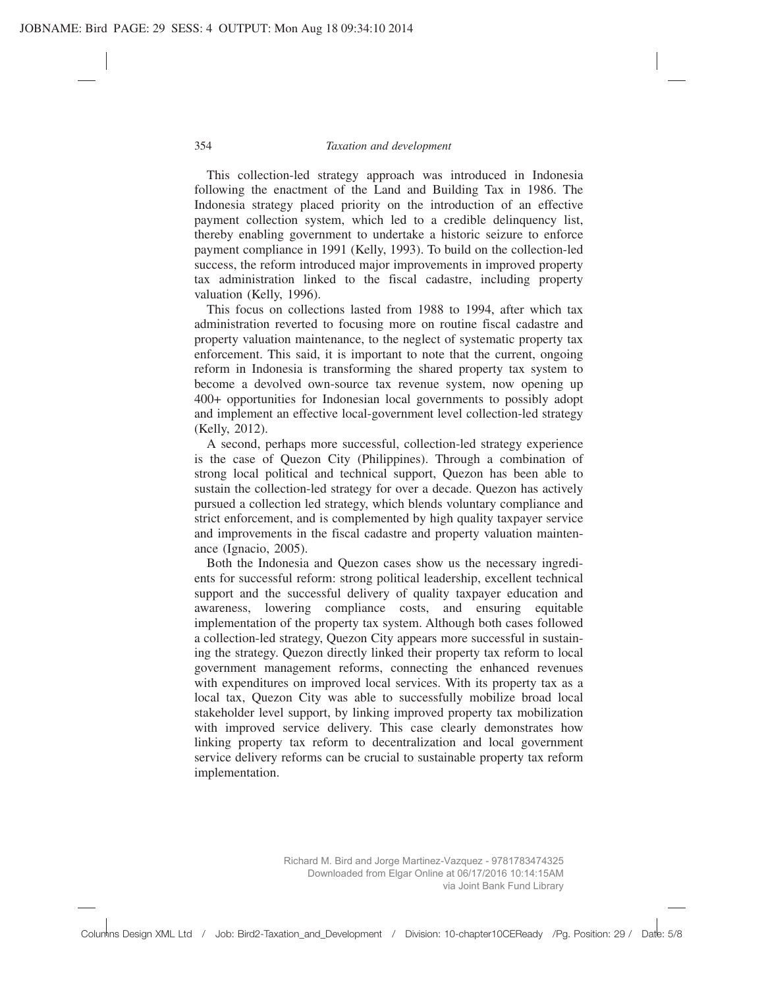This collection-led strategy approach was introduced in Indonesia following the enactment of the Land and Building Tax in 1986. The Indonesia strategy placed priority on the introduction of an effective payment collection system, which led to a credible delinquency list, thereby enabling government to undertake a historic seizure to enforce payment compliance in 1991 (Kelly, 1993). To build on the collection-led success, the reform introduced major improvements in improved property tax administration linked to the fiscal cadastre, including property valuation (Kelly, 1996).

This focus on collections lasted from 1988 to 1994, after which tax administration reverted to focusing more on routine fiscal cadastre and property valuation maintenance, to the neglect of systematic property tax enforcement. This said, it is important to note that the current, ongoing reform in Indonesia is transforming the shared property tax system to become a devolved own-source tax revenue system, now opening up 400+ opportunities for Indonesian local governments to possibly adopt and implement an effective local-government level collection-led strategy (Kelly, 2012).

A second, perhaps more successful, collection-led strategy experience is the case of Quezon City (Philippines). Through a combination of strong local political and technical support, Quezon has been able to sustain the collection-led strategy for over a decade. Quezon has actively pursued a collection led strategy, which blends voluntary compliance and strict enforcement, and is complemented by high quality taxpayer service and improvements in the fiscal cadastre and property valuation maintenance (Ignacio, 2005).

Both the Indonesia and Quezon cases show us the necessary ingredients for successful reform: strong political leadership, excellent technical support and the successful delivery of quality taxpayer education and awareness, lowering compliance costs, and ensuring equitable implementation of the property tax system. Although both cases followed a collection-led strategy, Quezon City appears more successful in sustaining the strategy. Quezon directly linked their property tax reform to local government management reforms, connecting the enhanced revenues with expenditures on improved local services. With its property tax as a local tax, Quezon City was able to successfully mobilize broad local stakeholder level support, by linking improved property tax mobilization with improved service delivery. This case clearly demonstrates how linking property tax reform to decentralization and local government service delivery reforms can be crucial to sustainable property tax reform implementation.

> Richard M. Bird and Jorge Martinez-Vazquez - 9781783474325 Downloaded from Elgar Online at 06/17/2016 10:14:15AM via Joint Bank Fund Library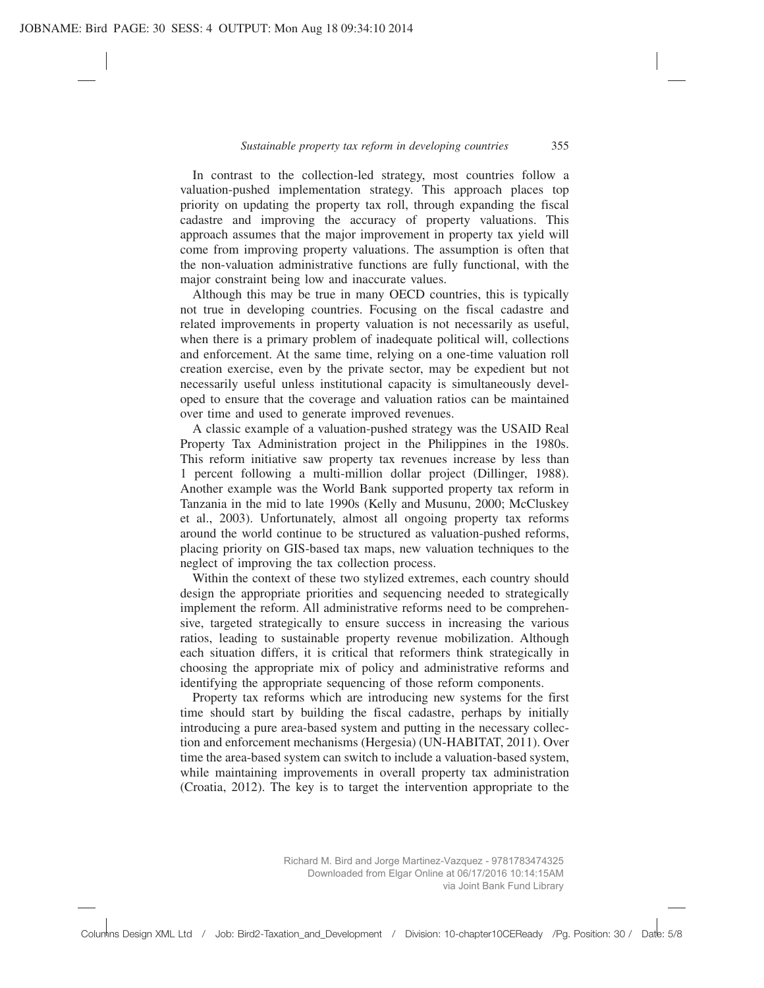In contrast to the collection-led strategy, most countries follow a valuation-pushed implementation strategy. This approach places top priority on updating the property tax roll, through expanding the fiscal cadastre and improving the accuracy of property valuations. This approach assumes that the major improvement in property tax yield will come from improving property valuations. The assumption is often that the non-valuation administrative functions are fully functional, with the major constraint being low and inaccurate values.

Although this may be true in many OECD countries, this is typically not true in developing countries. Focusing on the fiscal cadastre and related improvements in property valuation is not necessarily as useful, when there is a primary problem of inadequate political will, collections and enforcement. At the same time, relying on a one-time valuation roll creation exercise, even by the private sector, may be expedient but not necessarily useful unless institutional capacity is simultaneously developed to ensure that the coverage and valuation ratios can be maintained over time and used to generate improved revenues.

A classic example of a valuation-pushed strategy was the USAID Real Property Tax Administration project in the Philippines in the 1980s. This reform initiative saw property tax revenues increase by less than 1 percent following a multi-million dollar project (Dillinger, 1988). Another example was the World Bank supported property tax reform in Tanzania in the mid to late 1990s (Kelly and Musunu, 2000; McCluskey et al., 2003). Unfortunately, almost all ongoing property tax reforms around the world continue to be structured as valuation-pushed reforms, placing priority on GIS-based tax maps, new valuation techniques to the neglect of improving the tax collection process.

Within the context of these two stylized extremes, each country should design the appropriate priorities and sequencing needed to strategically implement the reform. All administrative reforms need to be comprehensive, targeted strategically to ensure success in increasing the various ratios, leading to sustainable property revenue mobilization. Although each situation differs, it is critical that reformers think strategically in choosing the appropriate mix of policy and administrative reforms and identifying the appropriate sequencing of those reform components.

Property tax reforms which are introducing new systems for the first time should start by building the fiscal cadastre, perhaps by initially introducing a pure area-based system and putting in the necessary collection and enforcement mechanisms (Hergesia) (UN-HABITAT, 2011). Over time the area-based system can switch to include a valuation-based system, while maintaining improvements in overall property tax administration (Croatia, 2012). The key is to target the intervention appropriate to the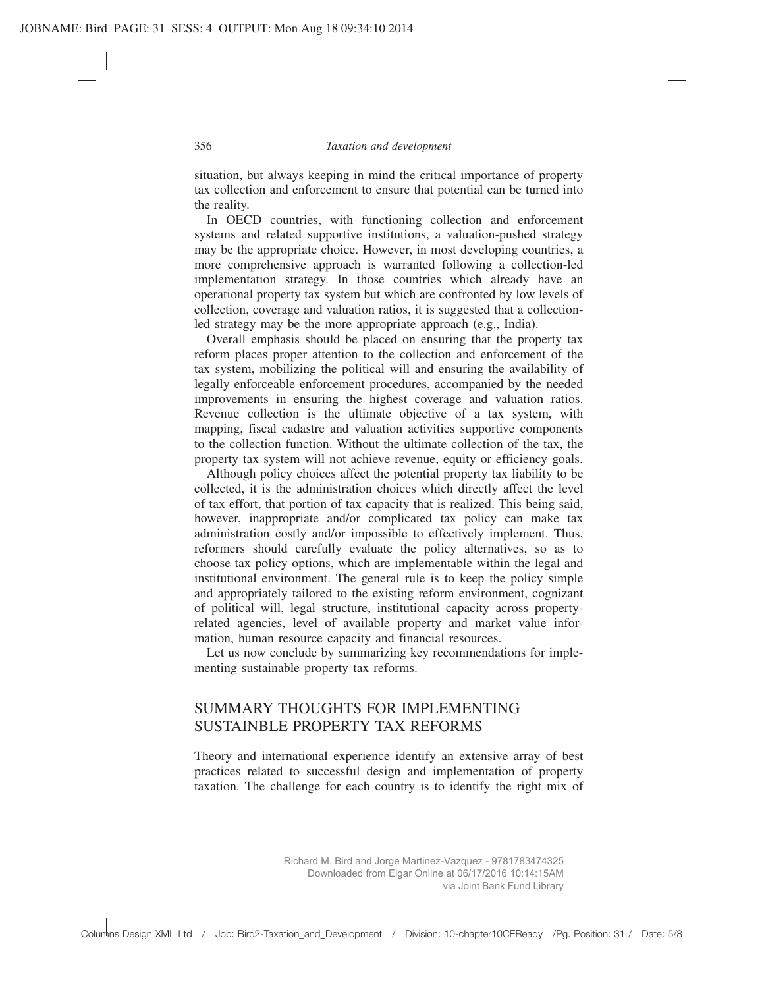situation, but always keeping in mind the critical importance of property tax collection and enforcement to ensure that potential can be turned into the reality.

In OECD countries, with functioning collection and enforcement systems and related supportive institutions, a valuation-pushed strategy may be the appropriate choice. However, in most developing countries, a more comprehensive approach is warranted following a collection-led implementation strategy. In those countries which already have an operational property tax system but which are confronted by low levels of collection, coverage and valuation ratios, it is suggested that a collectionled strategy may be the more appropriate approach (e.g., India).

Overall emphasis should be placed on ensuring that the property tax reform places proper attention to the collection and enforcement of the tax system, mobilizing the political will and ensuring the availability of legally enforceable enforcement procedures, accompanied by the needed improvements in ensuring the highest coverage and valuation ratios. Revenue collection is the ultimate objective of a tax system, with mapping, fiscal cadastre and valuation activities supportive components to the collection function. Without the ultimate collection of the tax, the property tax system will not achieve revenue, equity or efficiency goals.

Although policy choices affect the potential property tax liability to be collected, it is the administration choices which directly affect the level of tax effort, that portion of tax capacity that is realized. This being said, however, inappropriate and/or complicated tax policy can make tax administration costly and/or impossible to effectively implement. Thus, reformers should carefully evaluate the policy alternatives, so as to choose tax policy options, which are implementable within the legal and institutional environment. The general rule is to keep the policy simple and appropriately tailored to the existing reform environment, cognizant of political will, legal structure, institutional capacity across propertyrelated agencies, level of available property and market value information, human resource capacity and financial resources.

Let us now conclude by summarizing key recommendations for implementing sustainable property tax reforms.

# SUMMARY THOUGHTS FOR IMPLEMENTING SUSTAINBLE PROPERTY TAX REFORMS

Theory and international experience identify an extensive array of best practices related to successful design and implementation of property taxation. The challenge for each country is to identify the right mix of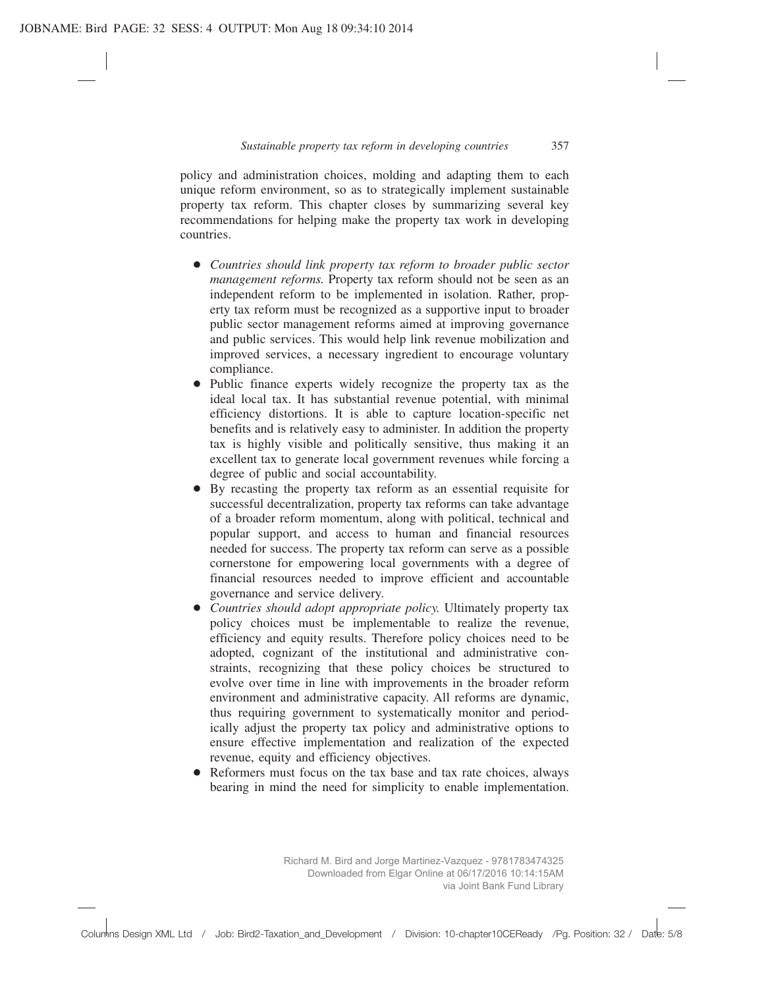policy and administration choices, molding and adapting them to each unique reform environment, so as to strategically implement sustainable property tax reform. This chapter closes by summarizing several key recommendations for helping make the property tax work in developing countries.

- + *Countries should link property tax reform to broader public sector management reforms.* Property tax reform should not be seen as an independent reform to be implemented in isolation. Rather, property tax reform must be recognized as a supportive input to broader public sector management reforms aimed at improving governance and public services. This would help link revenue mobilization and improved services, a necessary ingredient to encourage voluntary compliance.
- Public finance experts widely recognize the property tax as the ideal local tax. It has substantial revenue potential, with minimal efficiency distortions. It is able to capture location-specific net benefits and is relatively easy to administer. In addition the property tax is highly visible and politically sensitive, thus making it an excellent tax to generate local government revenues while forcing a degree of public and social accountability.
- $\bullet$  By recasting the property tax reform as an essential requisite for successful decentralization, property tax reforms can take advantage of a broader reform momentum, along with political, technical and popular support, and access to human and financial resources needed for success. The property tax reform can serve as a possible cornerstone for empowering local governments with a degree of financial resources needed to improve efficient and accountable governance and service delivery.
- *Countries should adopt appropriate policy.* Ultimately property tax policy choices must be implementable to realize the revenue, efficiency and equity results. Therefore policy choices need to be adopted, cognizant of the institutional and administrative constraints, recognizing that these policy choices be structured to evolve over time in line with improvements in the broader reform environment and administrative capacity. All reforms are dynamic, thus requiring government to systematically monitor and periodically adjust the property tax policy and administrative options to ensure effective implementation and realization of the expected revenue, equity and efficiency objectives.
- Reformers must focus on the tax base and tax rate choices, always bearing in mind the need for simplicity to enable implementation.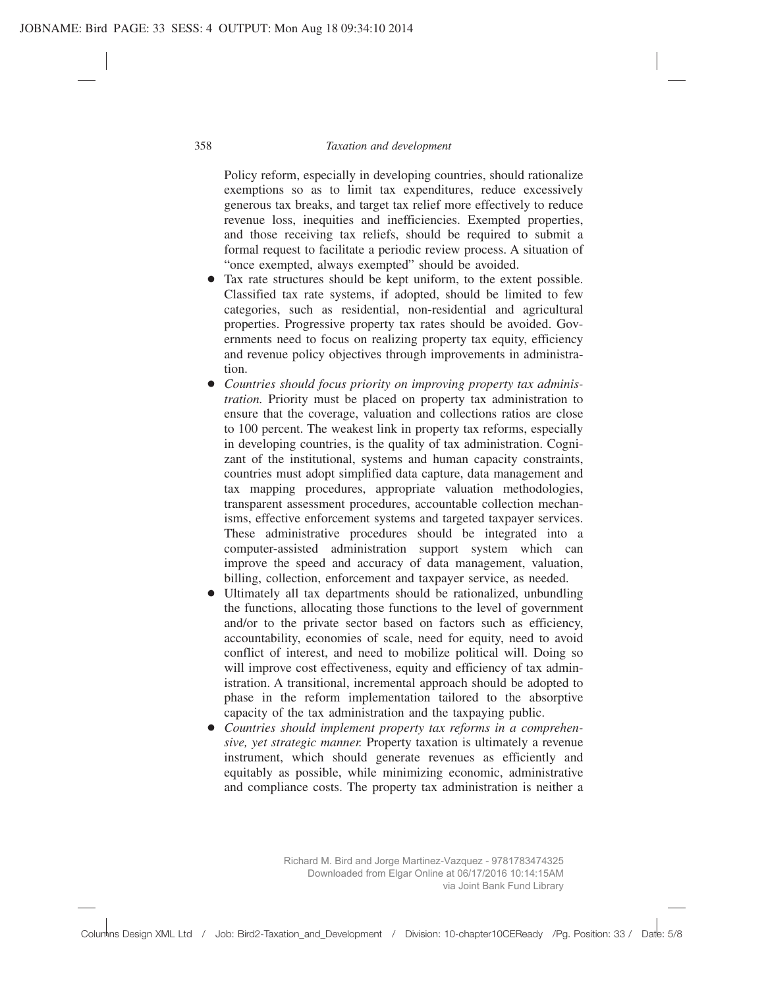Policy reform, especially in developing countries, should rationalize exemptions so as to limit tax expenditures, reduce excessively generous tax breaks, and target tax relief more effectively to reduce revenue loss, inequities and inefficiencies. Exempted properties, and those receiving tax reliefs, should be required to submit a formal request to facilitate a periodic review process. A situation of "once exempted, always exempted" should be avoided.

- Tax rate structures should be kept uniform, to the extent possible. Classified tax rate systems, if adopted, should be limited to few categories, such as residential, non-residential and agricultural properties. Progressive property tax rates should be avoided. Governments need to focus on realizing property tax equity, efficiency and revenue policy objectives through improvements in administration.
- + *Countries should focus priority on improving property tax administration.* Priority must be placed on property tax administration to ensure that the coverage, valuation and collections ratios are close to 100 percent. The weakest link in property tax reforms, especially in developing countries, is the quality of tax administration. Cognizant of the institutional, systems and human capacity constraints, countries must adopt simplified data capture, data management and tax mapping procedures, appropriate valuation methodologies, transparent assessment procedures, accountable collection mechanisms, effective enforcement systems and targeted taxpayer services. These administrative procedures should be integrated into a computer-assisted administration support system which can improve the speed and accuracy of data management, valuation, billing, collection, enforcement and taxpayer service, as needed.
- Ultimately all tax departments should be rationalized, unbundling the functions, allocating those functions to the level of government and/or to the private sector based on factors such as efficiency, accountability, economies of scale, need for equity, need to avoid conflict of interest, and need to mobilize political will. Doing so will improve cost effectiveness, equity and efficiency of tax administration. A transitional, incremental approach should be adopted to phase in the reform implementation tailored to the absorptive capacity of the tax administration and the taxpaying public.
- + *Countries should implement property tax reforms in a comprehensive, yet strategic manner.* Property taxation is ultimately a revenue instrument, which should generate revenues as efficiently and equitably as possible, while minimizing economic, administrative and compliance costs. The property tax administration is neither a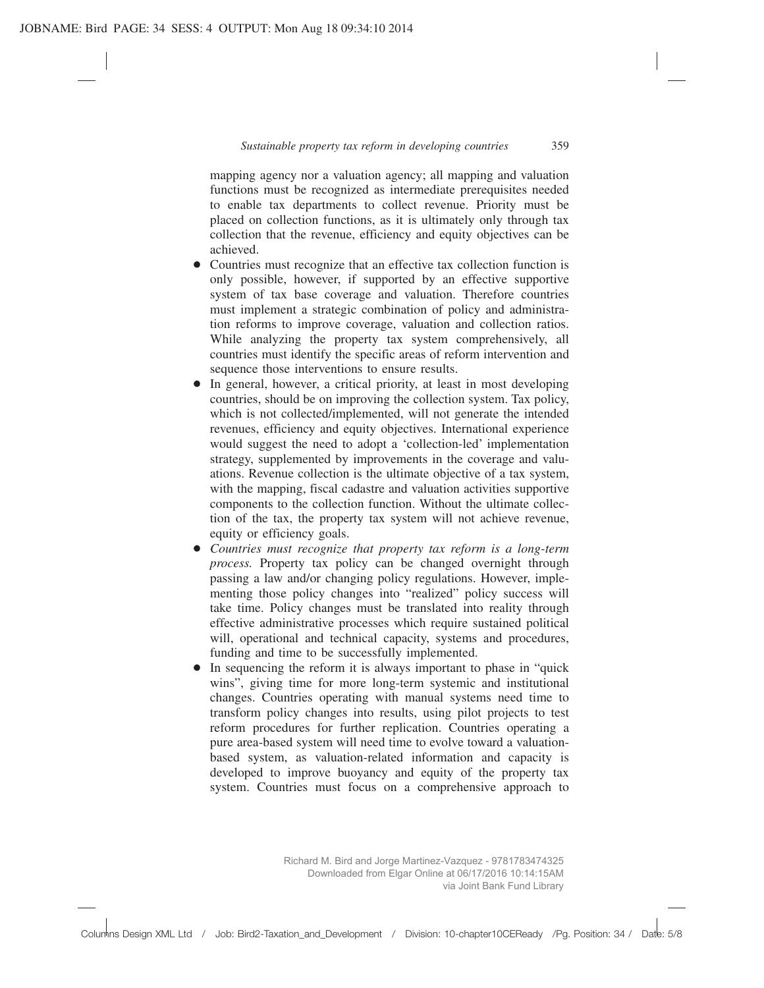mapping agency nor a valuation agency; all mapping and valuation functions must be recognized as intermediate prerequisites needed to enable tax departments to collect revenue. Priority must be placed on collection functions, as it is ultimately only through tax collection that the revenue, efficiency and equity objectives can be achieved.

- Countries must recognize that an effective tax collection function is only possible, however, if supported by an effective supportive system of tax base coverage and valuation. Therefore countries must implement a strategic combination of policy and administration reforms to improve coverage, valuation and collection ratios. While analyzing the property tax system comprehensively, all countries must identify the specific areas of reform intervention and sequence those interventions to ensure results.
- In general, however, a critical priority, at least in most developing countries, should be on improving the collection system. Tax policy, which is not collected/implemented, will not generate the intended revenues, efficiency and equity objectives. International experience would suggest the need to adopt a 'collection-led' implementation strategy, supplemented by improvements in the coverage and valuations. Revenue collection is the ultimate objective of a tax system, with the mapping, fiscal cadastre and valuation activities supportive components to the collection function. Without the ultimate collection of the tax, the property tax system will not achieve revenue, equity or efficiency goals.
- + *Countries must recognize that property tax reform is a long-term process.* Property tax policy can be changed overnight through passing a law and/or changing policy regulations. However, implementing those policy changes into "realized" policy success will take time. Policy changes must be translated into reality through effective administrative processes which require sustained political will, operational and technical capacity, systems and procedures, funding and time to be successfully implemented.
- $\bullet$  In sequencing the reform it is always important to phase in "quick" wins", giving time for more long-term systemic and institutional changes. Countries operating with manual systems need time to transform policy changes into results, using pilot projects to test reform procedures for further replication. Countries operating a pure area-based system will need time to evolve toward a valuationbased system, as valuation-related information and capacity is developed to improve buoyancy and equity of the property tax system. Countries must focus on a comprehensive approach to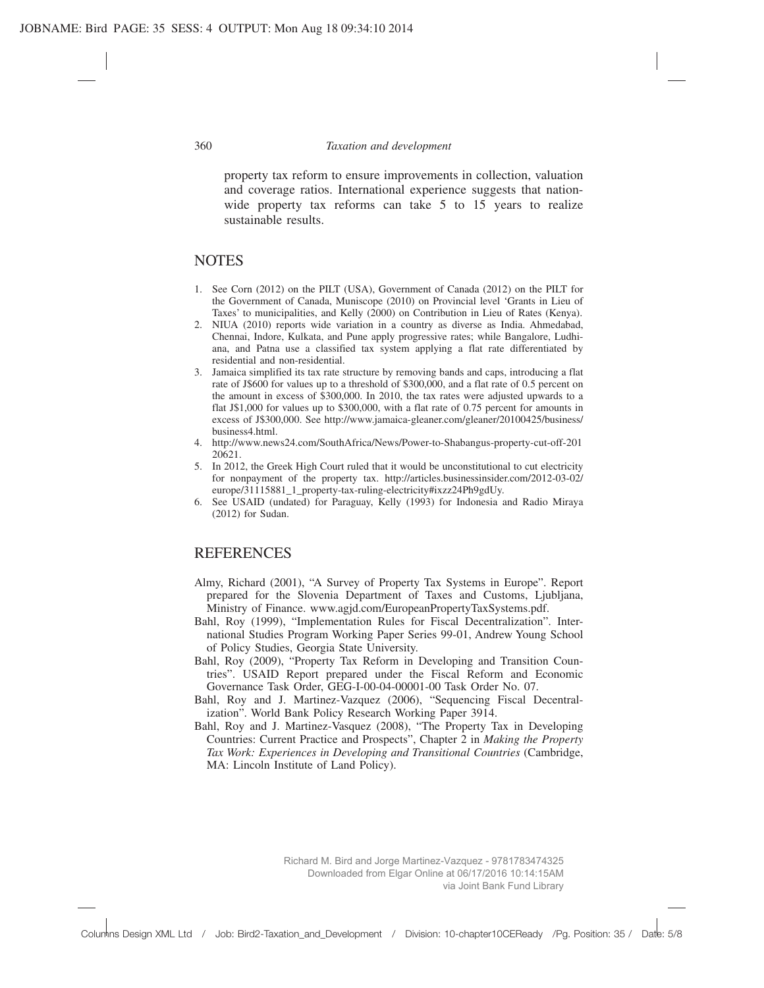property tax reform to ensure improvements in collection, valuation and coverage ratios. International experience suggests that nationwide property tax reforms can take 5 to 15 years to realize sustainable results.

# **NOTES**

- 1. See Corn (2012) on the PILT (USA), Government of Canada (2012) on the PILT for the Government of Canada, Muniscope (2010) on Provincial level 'Grants in Lieu of Taxes' to municipalities, and Kelly (2000) on Contribution in Lieu of Rates (Kenya).
- 2. NIUA (2010) reports wide variation in a country as diverse as India. Ahmedabad, Chennai, Indore, Kulkata, and Pune apply progressive rates; while Bangalore, Ludhiana, and Patna use a classified tax system applying a flat rate differentiated by residential and non-residential.
- 3. Jamaica simplified its tax rate structure by removing bands and caps, introducing a flat rate of J\$600 for values up to a threshold of \$300,000, and a flat rate of 0.5 percent on the amount in excess of \$300,000. In 2010, the tax rates were adjusted upwards to a flat J\$1,000 for values up to \$300,000, with a flat rate of 0.75 percent for amounts in excess of J\$300,000. See http://www.jamaica-gleaner.com/gleaner/20100425/business/ business4.html.
- 4. http://www.news24.com/SouthAfrica/News/Power-to-Shabangus-property-cut-off-201 20621.
- 5. In 2012, the Greek High Court ruled that it would be unconstitutional to cut electricity for nonpayment of the property tax. http://articles.businessinsider.com/2012-03-02/ europe/31115881\_1\_property-tax-ruling-electricity#ixzz24Ph9gdUy.
- 6. See USAID (undated) for Paraguay, Kelly (1993) for Indonesia and Radio Miraya (2012) for Sudan.

### **REFERENCES**

- Almy, Richard (2001), "A Survey of Property Tax Systems in Europe". Report prepared for the Slovenia Department of Taxes and Customs, Ljubljana, Ministry of Finance. www.agjd.com/EuropeanPropertyTaxSystems.pdf.
- Bahl, Roy (1999), "Implementation Rules for Fiscal Decentralization". International Studies Program Working Paper Series 99-01, Andrew Young School of Policy Studies, Georgia State University.
- Bahl, Roy (2009), "Property Tax Reform in Developing and Transition Countries". USAID Report prepared under the Fiscal Reform and Economic Governance Task Order, GEG-I-00-04-00001-00 Task Order No. 07.
- Bahl, Roy and J. Martinez-Vazquez (2006), "Sequencing Fiscal Decentralization". World Bank Policy Research Working Paper 3914.
- Bahl, Roy and J. Martinez-Vasquez (2008), "The Property Tax in Developing Countries: Current Practice and Prospects", Chapter 2 in *Making the Property Tax Work: Experiences in Developing and Transitional Countries* (Cambridge, MA: Lincoln Institute of Land Policy).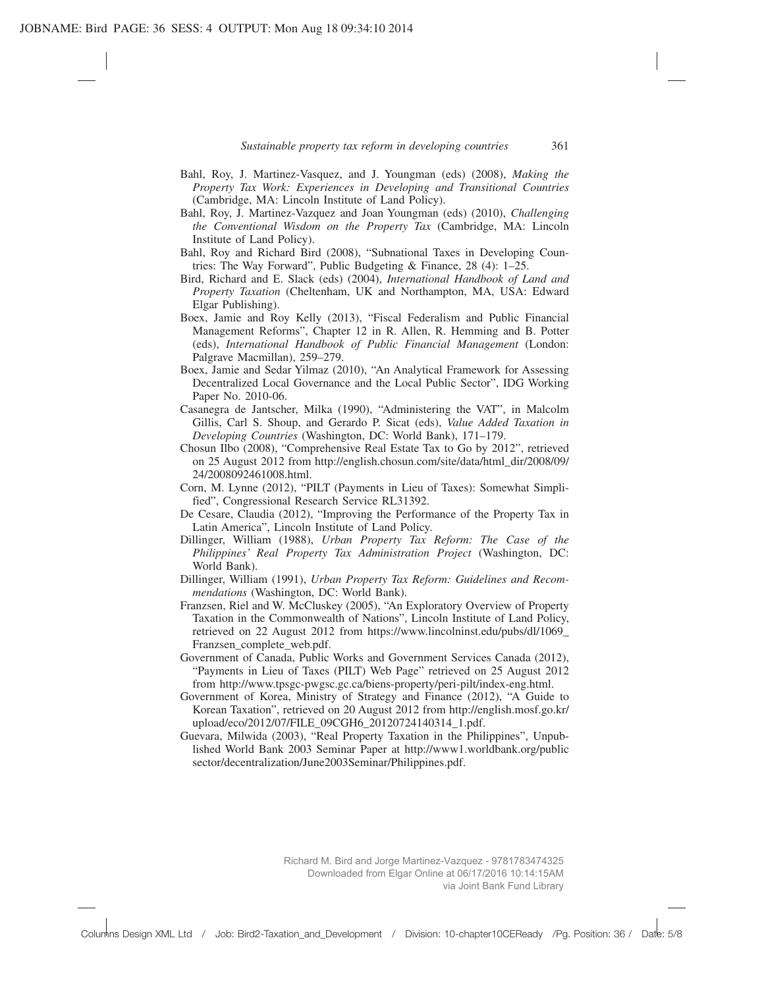- Bahl, Roy, J. Martinez-Vasquez, and J. Youngman (eds) (2008), *Making the Property Tax Work: Experiences in Developing and Transitional Countries* (Cambridge, MA: Lincoln Institute of Land Policy).
- Bahl, Roy, J. Martinez-Vazquez and Joan Youngman (eds) (2010), *Challenging the Conventional Wisdom on the Property Tax* (Cambridge, MA: Lincoln Institute of Land Policy).
- Bahl, Roy and Richard Bird (2008), "Subnational Taxes in Developing Countries: The Way Forward", Public Budgeting & Finance, 28 (4): 1–25.
- Bird, Richard and E. Slack (eds) (2004), *International Handbook of Land and Property Taxation* (Cheltenham, UK and Northampton, MA, USA: Edward Elgar Publishing).
- Boex, Jamie and Roy Kelly (2013), "Fiscal Federalism and Public Financial Management Reforms", Chapter 12 in R. Allen, R. Hemming and B. Potter (eds), *International Handbook of Public Financial Management* (London: Palgrave Macmillan), 259–279.
- Boex, Jamie and Sedar Yilmaz (2010), "An Analytical Framework for Assessing Decentralized Local Governance and the Local Public Sector", IDG Working Paper No. 2010-06.
- Casanegra de Jantscher, Milka (1990), "Administering the VAT", in Malcolm Gillis, Carl S. Shoup, and Gerardo P. Sicat (eds), *Value Added Taxation in Developing Countries* (Washington, DC: World Bank), 171–179.
- Chosun Ilbo (2008), "Comprehensive Real Estate Tax to Go by 2012", retrieved on 25 August 2012 from http://english.chosun.com/site/data/html\_dir/2008/09/ 24/2008092461008.html.
- Corn, M. Lynne (2012), "PILT (Payments in Lieu of Taxes): Somewhat Simplified", Congressional Research Service RL31392.
- De Cesare, Claudia (2012), "Improving the Performance of the Property Tax in Latin America", Lincoln Institute of Land Policy.
- Dillinger, William (1988), *Urban Property Tax Reform: The Case of the Philippines' Real Property Tax Administration Project* (Washington, DC: World Bank).
- Dillinger, William (1991), *Urban Property Tax Reform: Guidelines and Recommendations* (Washington, DC: World Bank).
- Franzsen, Riel and W. McCluskey (2005), "An Exploratory Overview of Property Taxation in the Commonwealth of Nations", Lincoln Institute of Land Policy, retrieved on 22 August 2012 from https://www.lincolninst.edu/pubs/dl/1069\_ Franzsen\_complete\_web.pdf.
- Government of Canada, Public Works and Government Services Canada (2012), "Payments in Lieu of Taxes (PILT) Web Page" retrieved on 25 August 2012 from http://www.tpsgc-pwgsc.gc.ca/biens-property/peri-pilt/index-eng.html.
- Government of Korea, Ministry of Strategy and Finance (2012), "A Guide to Korean Taxation", retrieved on 20 August 2012 from http://english.mosf.go.kr/ upload/eco/2012/07/FILE\_09CGH6\_20120724140314\_1.pdf.
- Guevara, Milwida (2003), "Real Property Taxation in the Philippines", Unpublished World Bank 2003 Seminar Paper at http://www1.worldbank.org/public sector/decentralization/June2003Seminar/Philippines.pdf.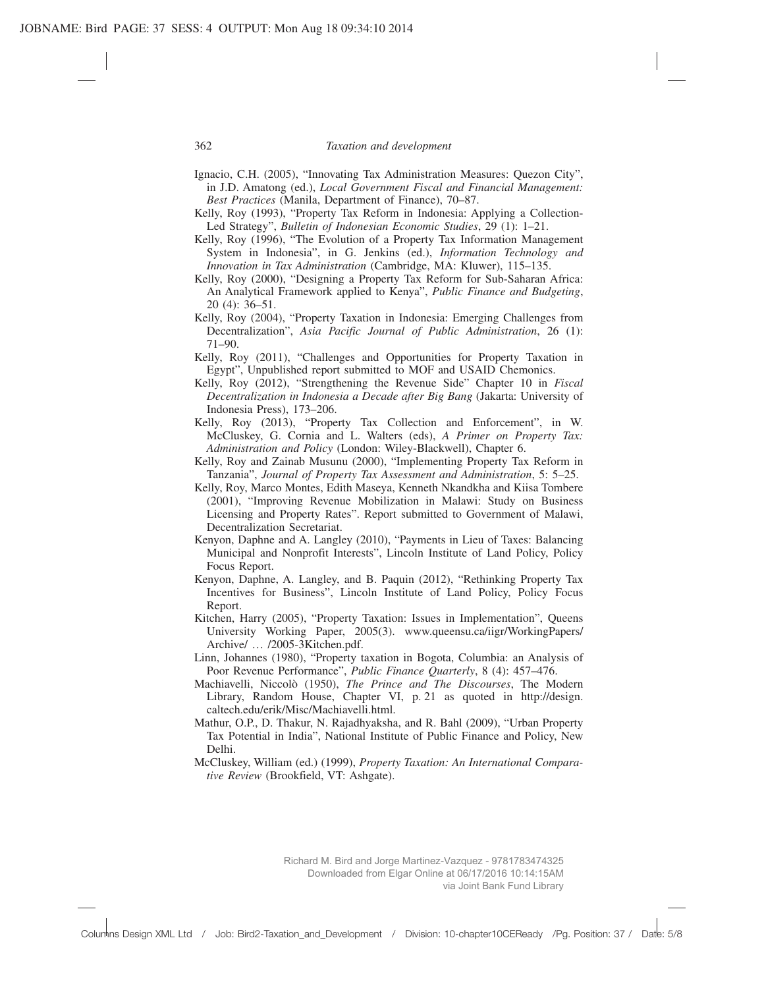- Ignacio, C.H. (2005), "Innovating Tax Administration Measures: Quezon City", in J.D. Amatong (ed.), *Local Government Fiscal and Financial Management: Best Practices* (Manila, Department of Finance), 70–87.
- Kelly, Roy (1993), "Property Tax Reform in Indonesia: Applying a Collection-Led Strategy", *Bulletin of Indonesian Economic Studies*, 29 (1): 1–21.
- Kelly, Roy (1996), "The Evolution of a Property Tax Information Management System in Indonesia", in G. Jenkins (ed.), *Information Technology and Innovation in Tax Administration* (Cambridge, MA: Kluwer), 115–135.
- Kelly, Roy (2000), "Designing a Property Tax Reform for Sub-Saharan Africa: An Analytical Framework applied to Kenya", *Public Finance and Budgeting*, 20 (4): 36–51.
- Kelly, Roy (2004), "Property Taxation in Indonesia: Emerging Challenges from Decentralization", *Asia Pacific Journal of Public Administration*, 26 (1): 71–90.
- Kelly, Roy (2011), "Challenges and Opportunities for Property Taxation in Egypt", Unpublished report submitted to MOF and USAID Chemonics.
- Kelly, Roy (2012), "Strengthening the Revenue Side" Chapter 10 in *Fiscal Decentralization in Indonesia a Decade after Big Bang* (Jakarta: University of Indonesia Press), 173–206.
- Kelly, Roy (2013), "Property Tax Collection and Enforcement", in W. McCluskey, G. Cornia and L. Walters (eds), *A Primer on Property Tax: Administration and Policy* (London: Wiley-Blackwell), Chapter 6.
- Kelly, Roy and Zainab Musunu (2000), "Implementing Property Tax Reform in Tanzania", *Journal of Property Tax Assessment and Administration*, 5: 5–25.
- Kelly, Roy, Marco Montes, Edith Maseya, Kenneth Nkandkha and Kiisa Tombere (2001), "Improving Revenue Mobilization in Malawi: Study on Business Licensing and Property Rates". Report submitted to Government of Malawi, Decentralization Secretariat.
- Kenyon, Daphne and A. Langley (2010), "Payments in Lieu of Taxes: Balancing Municipal and Nonprofit Interests", Lincoln Institute of Land Policy, Policy Focus Report.
- Kenyon, Daphne, A. Langley, and B. Paquin (2012), "Rethinking Property Tax Incentives for Business", Lincoln Institute of Land Policy, Policy Focus Report.
- Kitchen, Harry (2005), "Property Taxation: Issues in Implementation", Queens University Working Paper, 2005(3). www.queensu.ca/iigr/WorkingPapers/ Archive/ … /2005-3Kitchen.pdf.
- Linn, Johannes (1980), "Property taxation in Bogota, Columbia: an Analysis of Poor Revenue Performance", *Public Finance Quarterly*, 8 (4): 457–476.
- Machiavelli, Niccolò (1950), *The Prince and The Discourses*, The Modern Library, Random House, Chapter VI, p. 21 as quoted in http://design. caltech.edu/erik/Misc/Machiavelli.html.
- Mathur, O.P., D. Thakur, N. Rajadhyaksha, and R. Bahl (2009), "Urban Property Tax Potential in India", National Institute of Public Finance and Policy, New Delhi.
- McCluskey, William (ed.) (1999), *Property Taxation: An International Comparative Review* (Brookfield, VT: Ashgate).